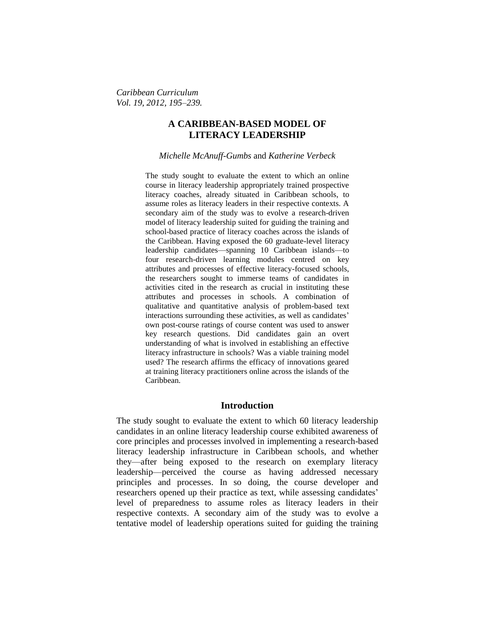*Caribbean Curriculum Vol. 19, 2012, 195–239.*

## **A CARIBBEAN-BASED MODEL OF LITERACY LEADERSHIP**

*Michelle McAnuff-Gumbs* and *Katherine Verbeck*

The study sought to evaluate the extent to which an online course in literacy leadership appropriately trained prospective literacy coaches, already situated in Caribbean schools, to assume roles as literacy leaders in their respective contexts. A secondary aim of the study was to evolve a research-driven model of literacy leadership suited for guiding the training and school-based practice of literacy coaches across the islands of the Caribbean. Having exposed the 60 graduate-level literacy leadership candidates—spanning 10 Caribbean islands—to four research-driven learning modules centred on key attributes and processes of effective literacy-focused schools, the researchers sought to immerse teams of candidates in activities cited in the research as crucial in instituting these attributes and processes in schools. A combination of qualitative and quantitative analysis of problem-based text interactions surrounding these activities, as well as candidates' own post-course ratings of course content was used to answer key research questions. Did candidates gain an overt understanding of what is involved in establishing an effective literacy infrastructure in schools? Was a viable training model used? The research affirms the efficacy of innovations geared at training literacy practitioners online across the islands of the Caribbean.

## **Introduction**

The study sought to evaluate the extent to which 60 literacy leadership candidates in an online literacy leadership course exhibited awareness of core principles and processes involved in implementing a research-based literacy leadership infrastructure in Caribbean schools, and whether they—after being exposed to the research on exemplary literacy leadership—perceived the course as having addressed necessary principles and processes. In so doing, the course developer and researchers opened up their practice as text, while assessing candidates' level of preparedness to assume roles as literacy leaders in their respective contexts. A secondary aim of the study was to evolve a tentative model of leadership operations suited for guiding the training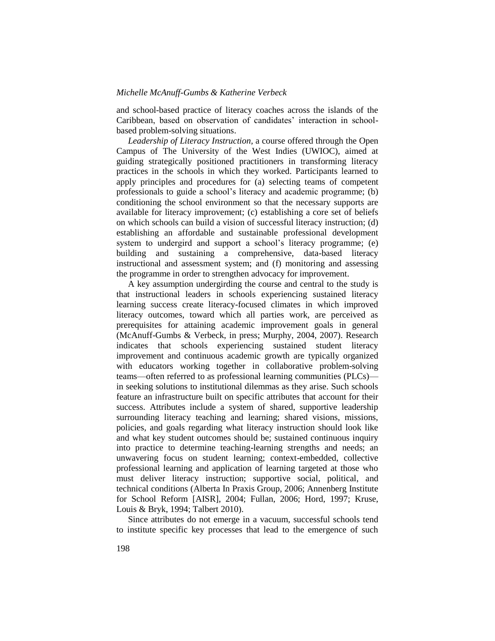and school-based practice of literacy coaches across the islands of the Caribbean, based on observation of candidates' interaction in schoolbased problem-solving situations.

*Leadership of Literacy Instruction,* a course offered through the Open Campus of The University of the West Indies (UWIOC), aimed at guiding strategically positioned practitioners in transforming literacy practices in the schools in which they worked. Participants learned to apply principles and procedures for (a) selecting teams of competent professionals to guide a school's literacy and academic programme; (b) conditioning the school environment so that the necessary supports are available for literacy improvement; (c) establishing a core set of beliefs on which schools can build a vision of successful literacy instruction; (d) establishing an affordable and sustainable professional development system to undergird and support a school's literacy programme; (e) building and sustaining a comprehensive, data-based literacy instructional and assessment system; and (f) monitoring and assessing the programme in order to strengthen advocacy for improvement.

A key assumption undergirding the course and central to the study is that instructional leaders in schools experiencing sustained literacy learning success create literacy-focused climates in which improved literacy outcomes, toward which all parties work, are perceived as prerequisites for attaining academic improvement goals in general (McAnuff-Gumbs & Verbeck, in press; Murphy, 2004, 2007). Research indicates that schools experiencing sustained student literacy improvement and continuous academic growth are typically organized with educators working together in collaborative problem-solving teams—often referred to as professional learning communities (PLCs) in seeking solutions to institutional dilemmas as they arise. Such schools feature an infrastructure built on specific attributes that account for their success. Attributes include a system of shared, supportive leadership surrounding literacy teaching and learning; shared visions, missions, policies, and goals regarding what literacy instruction should look like and what key student outcomes should be; sustained continuous inquiry into practice to determine teaching-learning strengths and needs; an unwavering focus on student learning; context-embedded, collective professional learning and application of learning targeted at those who must deliver literacy instruction; supportive social, political, and technical conditions (Alberta In Praxis Group, 2006; Annenberg Institute for School Reform [AISR], 2004; Fullan, 2006; Hord, 1997; Kruse, Louis & Bryk, 1994; Talbert 2010).

Since attributes do not emerge in a vacuum, successful schools tend to institute specific key processes that lead to the emergence of such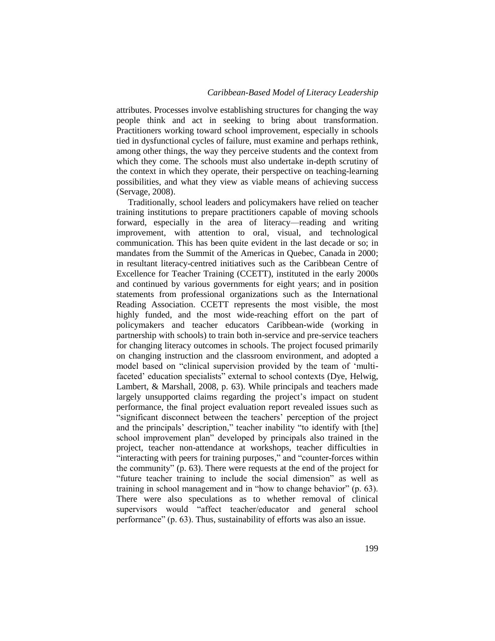attributes. Processes involve establishing structures for changing the way people think and act in seeking to bring about transformation. Practitioners working toward school improvement, especially in schools tied in dysfunctional cycles of failure, must examine and perhaps rethink, among other things, the way they perceive students and the context from which they come. The schools must also undertake in-depth scrutiny of the context in which they operate, their perspective on teaching-learning possibilities, and what they view as viable means of achieving success (Servage, 2008).

Traditionally, school leaders and policymakers have relied on teacher training institutions to prepare practitioners capable of moving schools forward, especially in the area of literacy—reading and writing improvement, with attention to oral, visual, and technological communication. This has been quite evident in the last decade or so; in mandates from the Summit of the Americas in Quebec, Canada in 2000; in resultant literacy-centred initiatives such as the Caribbean Centre of Excellence for Teacher Training (CCETT), instituted in the early 2000s and continued by various governments for eight years; and in position statements from professional organizations such as the International Reading Association. CCETT represents the most visible, the most highly funded, and the most wide-reaching effort on the part of policymakers and teacher educators Caribbean-wide (working in partnership with schools) to train both in-service and pre-service teachers for changing literacy outcomes in schools. The project focused primarily on changing instruction and the classroom environment, and adopted a model based on "clinical supervision provided by the team of 'multifaceted' education specialists" external to school contexts (Dye, Helwig, Lambert, & Marshall, 2008, p. 63). While principals and teachers made largely unsupported claims regarding the project's impact on student performance, the final project evaluation report revealed issues such as ―significant disconnect between the teachers' perception of the project and the principals' description," teacher inability "to identify with [the] school improvement plan" developed by principals also trained in the project, teacher non-attendance at workshops, teacher difficulties in "interacting with peers for training purposes," and "counter-forces within the community" (p.  $63$ ). There were requests at the end of the project for "future teacher training to include the social dimension" as well as training in school management and in "how to change behavior" (p. 63). There were also speculations as to whether removal of clinical supervisors would "affect teacher/educator and general school performance" (p. 63). Thus, sustainability of efforts was also an issue.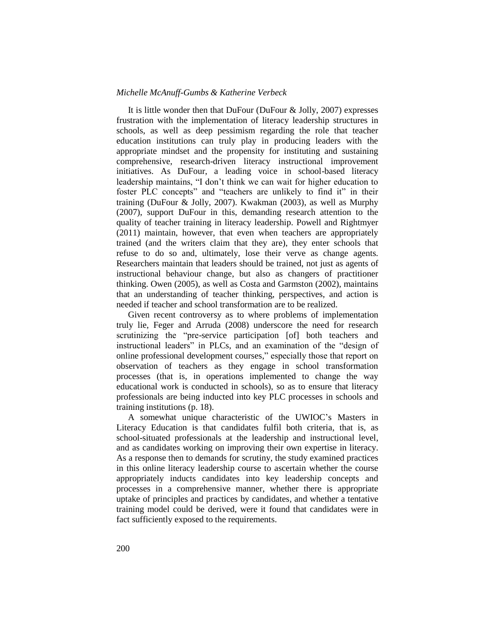It is little wonder then that DuFour (DuFour & Jolly, 2007) expresses frustration with the implementation of literacy leadership structures in schools, as well as deep pessimism regarding the role that teacher education institutions can truly play in producing leaders with the appropriate mindset and the propensity for instituting and sustaining comprehensive, research-driven literacy instructional improvement initiatives. As DuFour, a leading voice in school-based literacy leadership maintains, "I don't think we can wait for higher education to foster PLC concepts" and "teachers are unlikely to find it" in their training (DuFour & Jolly, 2007). Kwakman (2003), as well as Murphy (2007), support DuFour in this, demanding research attention to the quality of teacher training in literacy leadership. Powell and Rightmyer (2011) maintain, however, that even when teachers are appropriately trained (and the writers claim that they are), they enter schools that refuse to do so and, ultimately, lose their verve as change agents. Researchers maintain that leaders should be trained, not just as agents of instructional behaviour change, but also as changers of practitioner thinking. Owen (2005), as well as Costa and Garmston (2002), maintains that an understanding of teacher thinking, perspectives, and action is needed if teacher and school transformation are to be realized.

Given recent controversy as to where problems of implementation truly lie, Feger and Arruda (2008) underscore the need for research scrutinizing the "pre-service participation [of] both teachers and instructional leaders" in PLCs, and an examination of the "design of online professional development courses," especially those that report on observation of teachers as they engage in school transformation processes (that is, in operations implemented to change the way educational work is conducted in schools), so as to ensure that literacy professionals are being inducted into key PLC processes in schools and training institutions (p. 18).

A somewhat unique characteristic of the UWIOC's Masters in Literacy Education is that candidates fulfil both criteria, that is, as school-situated professionals at the leadership and instructional level, and as candidates working on improving their own expertise in literacy. As a response then to demands for scrutiny, the study examined practices in this online literacy leadership course to ascertain whether the course appropriately inducts candidates into key leadership concepts and processes in a comprehensive manner, whether there is appropriate uptake of principles and practices by candidates, and whether a tentative training model could be derived, were it found that candidates were in fact sufficiently exposed to the requirements.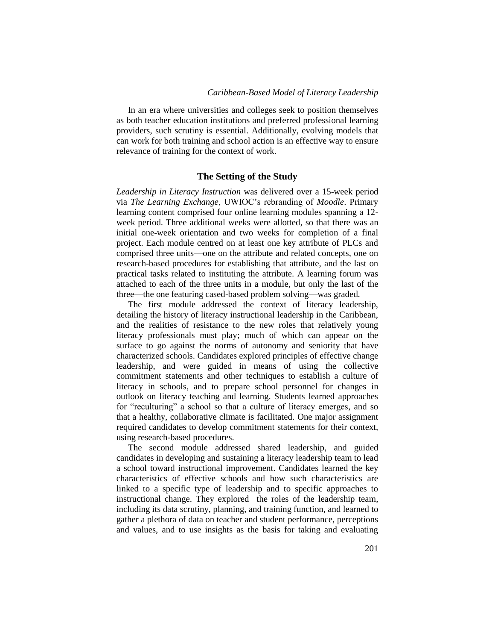In an era where universities and colleges seek to position themselves as both teacher education institutions and preferred professional learning providers, such scrutiny is essential. Additionally, evolving models that can work for both training and school action is an effective way to ensure relevance of training for the context of work.

#### **The Setting of the Study**

*Leadership in Literacy Instruction* was delivered over a 15-week period via *The Learning Exchange*, UWIOC's rebranding of *Moodle*. Primary learning content comprised four online learning modules spanning a 12 week period. Three additional weeks were allotted, so that there was an initial one-week orientation and two weeks for completion of a final project. Each module centred on at least one key attribute of PLCs and comprised three units—one on the attribute and related concepts, one on research-based procedures for establishing that attribute, and the last on practical tasks related to instituting the attribute. A learning forum was attached to each of the three units in a module, but only the last of the three—the one featuring cased-based problem solving—was graded.

The first module addressed the context of literacy leadership, detailing the history of literacy instructional leadership in the Caribbean, and the realities of resistance to the new roles that relatively young literacy professionals must play; much of which can appear on the surface to go against the norms of autonomy and seniority that have characterized schools. Candidates explored principles of effective change leadership, and were guided in means of using the collective commitment statements and other techniques to establish a culture of literacy in schools, and to prepare school personnel for changes in outlook on literacy teaching and learning. Students learned approaches for "reculturing" a school so that a culture of literacy emerges, and so that a healthy, collaborative climate is facilitated. One major assignment required candidates to develop commitment statements for their context, using research-based procedures.

The second module addressed shared leadership, and guided candidates in developing and sustaining a literacy leadership team to lead a school toward instructional improvement. Candidates learned the key characteristics of effective schools and how such characteristics are linked to a specific type of leadership and to specific approaches to instructional change. They explored the roles of the leadership team, including its data scrutiny, planning, and training function, and learned to gather a plethora of data on teacher and student performance, perceptions and values, and to use insights as the basis for taking and evaluating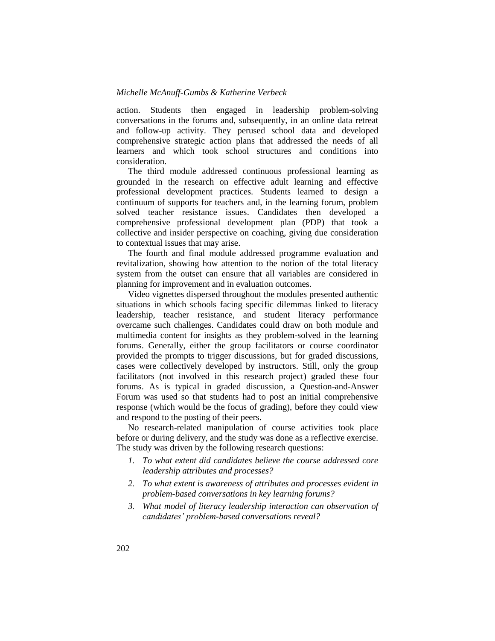action. Students then engaged in leadership problem-solving conversations in the forums and, subsequently, in an online data retreat and follow-up activity. They perused school data and developed comprehensive strategic action plans that addressed the needs of all learners and which took school structures and conditions into consideration.

The third module addressed continuous professional learning as grounded in the research on effective adult learning and effective professional development practices. Students learned to design a continuum of supports for teachers and, in the learning forum, problem solved teacher resistance issues. Candidates then developed a comprehensive professional development plan (PDP) that took a collective and insider perspective on coaching, giving due consideration to contextual issues that may arise.

The fourth and final module addressed programme evaluation and revitalization, showing how attention to the notion of the total literacy system from the outset can ensure that all variables are considered in planning for improvement and in evaluation outcomes.

Video vignettes dispersed throughout the modules presented authentic situations in which schools facing specific dilemmas linked to literacy leadership, teacher resistance, and student literacy performance overcame such challenges. Candidates could draw on both module and multimedia content for insights as they problem-solved in the learning forums. Generally, either the group facilitators or course coordinator provided the prompts to trigger discussions, but for graded discussions, cases were collectively developed by instructors. Still, only the group facilitators (not involved in this research project) graded these four forums. As is typical in graded discussion, a Question-and-Answer Forum was used so that students had to post an initial comprehensive response (which would be the focus of grading), before they could view and respond to the posting of their peers.

No research-related manipulation of course activities took place before or during delivery, and the study was done as a reflective exercise. The study was driven by the following research questions:

- *1. To what extent did candidates believe the course addressed core leadership attributes and processes?*
- *2. To what extent is awareness of attributes and processes evident in problem-based conversations in key learning forums?*
- *3. What model of literacy leadership interaction can observation of candidates' problem-based conversations reveal?*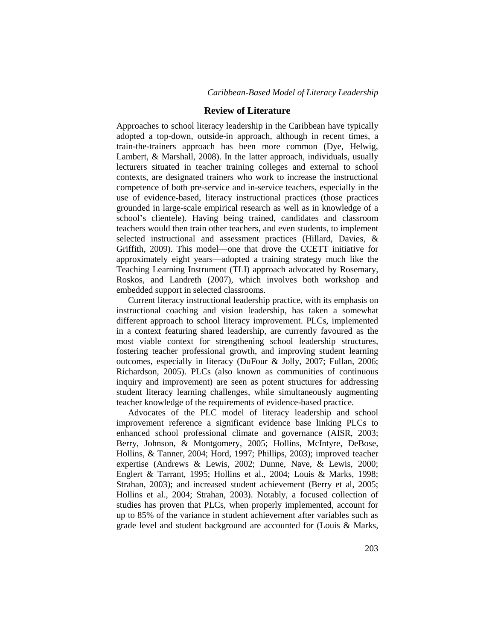#### **Review of Literature**

Approaches to school literacy leadership in the Caribbean have typically adopted a top-down, outside-in approach, although in recent times, a train-the-trainers approach has been more common (Dye, Helwig, Lambert, & Marshall, 2008). In the latter approach, individuals, usually lecturers situated in teacher training colleges and external to school contexts, are designated trainers who work to increase the instructional competence of both pre-service and in-service teachers, especially in the use of evidence-based, literacy instructional practices (those practices grounded in large-scale empirical research as well as in knowledge of a school's clientele). Having being trained, candidates and classroom teachers would then train other teachers, and even students, to implement selected instructional and assessment practices (Hillard, Davies, & Griffith, 2009). This model—one that drove the CCETT initiative for approximately eight years—adopted a training strategy much like the Teaching Learning Instrument (TLI) approach advocated by Rosemary, Roskos, and Landreth (2007), which involves both workshop and embedded support in selected classrooms.

Current literacy instructional leadership practice, with its emphasis on instructional coaching and vision leadership, has taken a somewhat different approach to school literacy improvement. PLCs, implemented in a context featuring shared leadership, are currently favoured as the most viable context for strengthening school leadership structures, fostering teacher professional growth, and improving student learning outcomes, especially in literacy (DuFour & Jolly, 2007; Fullan, 2006; Richardson, 2005). PLCs (also known as communities of continuous inquiry and improvement) are seen as potent structures for addressing student literacy learning challenges, while simultaneously augmenting teacher knowledge of the requirements of evidence-based practice.

Advocates of the PLC model of literacy leadership and school improvement reference a significant evidence base linking PLCs to enhanced school professional climate and governance (AISR, 2003; Berry, Johnson, & Montgomery, 2005; Hollins, McIntyre, DeBose, Hollins, & Tanner, 2004; Hord, 1997; Phillips, 2003); improved teacher expertise (Andrews & Lewis, 2002; Dunne, Nave, & Lewis, 2000; Englert & Tarrant, 1995; Hollins et al., 2004; Louis & Marks, 1998; Strahan, 2003); and increased student achievement (Berry et al, 2005; Hollins et al., 2004; Strahan, 2003). Notably, a focused collection of studies has proven that PLCs, when properly implemented, account for up to 85% of the variance in student achievement after variables such as grade level and student background are accounted for (Louis & Marks,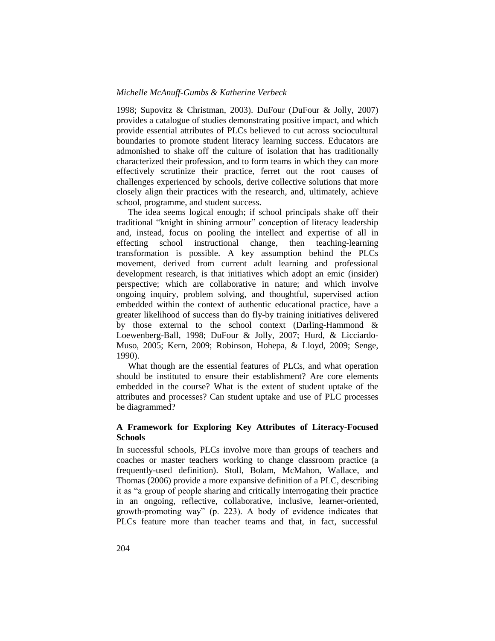1998; Supovitz & Christman, 2003). DuFour (DuFour & Jolly, 2007) provides a catalogue of studies demonstrating positive impact, and which provide essential attributes of PLCs believed to cut across sociocultural boundaries to promote student literacy learning success. Educators are admonished to shake off the culture of isolation that has traditionally characterized their profession, and to form teams in which they can more effectively scrutinize their practice, ferret out the root causes of challenges experienced by schools, derive collective solutions that more closely align their practices with the research, and, ultimately, achieve school, programme, and student success.

The idea seems logical enough; if school principals shake off their traditional "knight in shining armour" conception of literacy leadership and, instead, focus on pooling the intellect and expertise of all in effecting school instructional change, then teaching-learning transformation is possible. A key assumption behind the PLCs movement, derived from current adult learning and professional development research, is that initiatives which adopt an emic (insider) perspective; which are collaborative in nature; and which involve ongoing inquiry, problem solving, and thoughtful, supervised action embedded within the context of authentic educational practice, have a greater likelihood of success than do fly-by training initiatives delivered by those external to the school context (Darling-Hammond & Loewenberg-Ball, 1998; DuFour & Jolly, 2007; Hurd, & Licciardo-Muso, 2005; Kern, 2009; Robinson, Hohepa, & Lloyd, 2009; Senge, 1990).

What though are the essential features of PLCs, and what operation should be instituted to ensure their establishment? Are core elements embedded in the course? What is the extent of student uptake of the attributes and processes? Can student uptake and use of PLC processes be diagrammed?

## **A Framework for Exploring Key Attributes of Literacy-Focused Schools**

In successful schools, PLCs involve more than groups of teachers and coaches or master teachers working to change classroom practice (a frequently-used definition). Stoll, Bolam, McMahon, Wallace, and Thomas (2006) provide a more expansive definition of a PLC, describing it as "a group of people sharing and critically interrogating their practice in an ongoing, reflective, collaborative, inclusive, learner-oriented, growth-promoting way" (p. 223). A body of evidence indicates that PLCs feature more than teacher teams and that, in fact, successful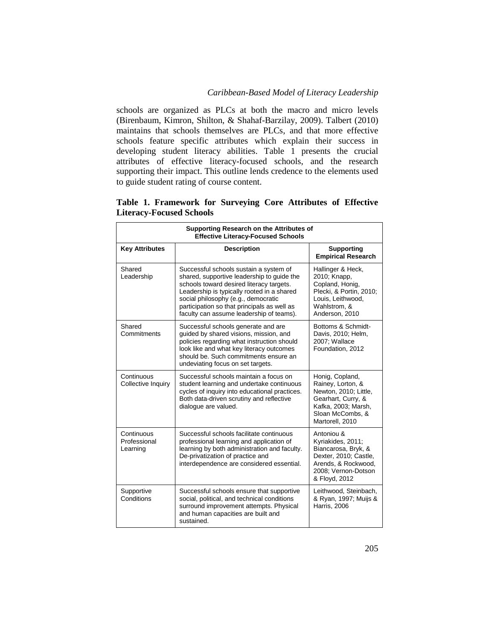schools are organized as PLCs at both the macro and micro levels (Birenbaum, Kimron, Shilton, & Shahaf-Barzilay, 2009). Talbert (2010) maintains that schools themselves are PLCs, and that more effective schools feature specific attributes which explain their success in developing student literacy abilities. Table 1 presents the crucial attributes of effective literacy-focused schools, and the research supporting their impact. This outline lends credence to the elements used to guide student rating of course content.

| Supporting Research on the Attributes of<br><b>Effective Literacy-Focused Schools</b> |                                                                                                                                                                                                                                                                                                                  |                                                                                                                                                   |  |  |
|---------------------------------------------------------------------------------------|------------------------------------------------------------------------------------------------------------------------------------------------------------------------------------------------------------------------------------------------------------------------------------------------------------------|---------------------------------------------------------------------------------------------------------------------------------------------------|--|--|
| <b>Key Attributes</b>                                                                 | <b>Description</b>                                                                                                                                                                                                                                                                                               | <b>Supporting</b><br><b>Empirical Research</b>                                                                                                    |  |  |
| Shared<br>Leadership                                                                  | Successful schools sustain a system of<br>shared, supportive leadership to guide the<br>schools toward desired literacy targets.<br>Leadership is typically rooted in a shared<br>social philosophy (e.g., democratic<br>participation so that principals as well as<br>faculty can assume leadership of teams). | Hallinger & Heck,<br>2010; Knapp,<br>Copland, Honig,<br>Plecki, & Portin, 2010;<br>Louis, Leithwood,<br>Wahlstrom, &<br>Anderson, 2010            |  |  |
| Shared<br>Commitments                                                                 | Successful schools generate and are<br>quided by shared visions, mission, and<br>policies regarding what instruction should<br>look like and what key literacy outcomes<br>should be. Such commitments ensure an<br>undeviating focus on set targets.                                                            | Bottoms & Schmidt-<br>Davis, 2010; Helm,<br>2007: Wallace<br>Foundation, 2012                                                                     |  |  |
| Continuous<br>Collective Inquiry                                                      | Successful schools maintain a focus on<br>student learning and undertake continuous<br>cycles of inquiry into educational practices.<br>Both data-driven scrutiny and reflective<br>dialogue are valued.                                                                                                         | Honig, Copland,<br>Rainey, Lorton, &<br>Newton, 2010; Little,<br>Gearhart, Curry, &<br>Kafka, 2003; Marsh,<br>Sloan McCombs, &<br>Martorell, 2010 |  |  |
| Continuous<br>Professional<br>Learning                                                | Successful schools facilitate continuous<br>professional learning and application of<br>learning by both administration and faculty.<br>De-privatization of practice and<br>interdependence are considered essential.                                                                                            | Antoniou &<br>Kyriakides, 2011;<br>Biancarosa, Bryk, &<br>Dexter, 2010; Castle,<br>Arends, & Rockwood,<br>2008; Vernon-Dotson<br>& Floyd, 2012    |  |  |
| Supportive<br>Conditions                                                              | Successful schools ensure that supportive<br>social, political, and technical conditions<br>surround improvement attempts. Physical<br>and human capacities are built and<br>sustained.                                                                                                                          | Leithwood, Steinbach,<br>& Ryan, 1997; Muijs &<br><b>Harris, 2006</b>                                                                             |  |  |

**Table 1. Framework for Surveying Core Attributes of Effective Literacy-Focused Schools**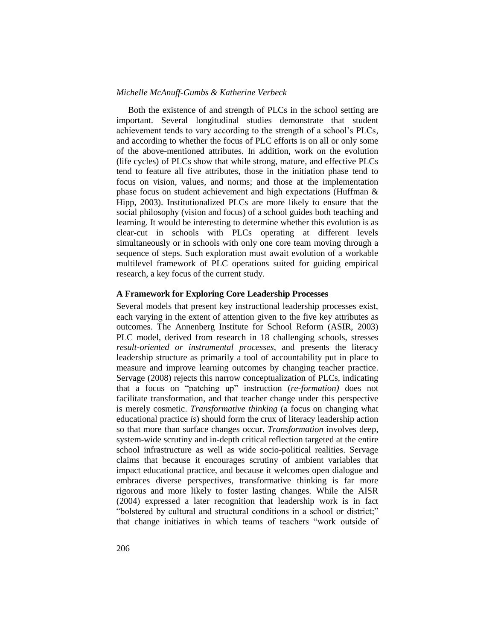Both the existence of and strength of PLCs in the school setting are important. Several longitudinal studies demonstrate that student achievement tends to vary according to the strength of a school's PLCs, and according to whether the focus of PLC efforts is on all or only some of the above-mentioned attributes. In addition, work on the evolution (life cycles) of PLCs show that while strong, mature, and effective PLCs tend to feature all five attributes, those in the initiation phase tend to focus on vision, values, and norms; and those at the implementation phase focus on student achievement and high expectations (Huffman & Hipp, 2003). Institutionalized PLCs are more likely to ensure that the social philosophy (vision and focus) of a school guides both teaching and learning. It would be interesting to determine whether this evolution is as clear-cut in schools with PLCs operating at different levels simultaneously or in schools with only one core team moving through a sequence of steps. Such exploration must await evolution of a workable multilevel framework of PLC operations suited for guiding empirical research, a key focus of the current study.

## **A Framework for Exploring Core Leadership Processes**

Several models that present key instructional leadership processes exist, each varying in the extent of attention given to the five key attributes as outcomes. The Annenberg Institute for School Reform (ASIR, 2003) PLC model, derived from research in 18 challenging schools, stresses *result-oriented or instrumental processes*, and presents the literacy leadership structure as primarily a tool of accountability put in place to measure and improve learning outcomes by changing teacher practice. Servage (2008) rejects this narrow conceptualization of PLCs, indicating that a focus on "patching up" instruction (*re-formation*) does not facilitate transformation, and that teacher change under this perspective is merely cosmetic. *Transformative thinking* (a focus on changing what educational practice *is*) should form the crux of literacy leadership action so that more than surface changes occur. *Transformation* involves deep, system-wide scrutiny and in-depth critical reflection targeted at the entire school infrastructure as well as wide socio-political realities. Servage claims that because it encourages scrutiny of ambient variables that impact educational practice, and because it welcomes open dialogue and embraces diverse perspectives, transformative thinking is far more rigorous and more likely to foster lasting changes. While the AISR (2004) expressed a later recognition that leadership work is in fact "bolstered by cultural and structural conditions in a school or district;" that change initiatives in which teams of teachers "work outside of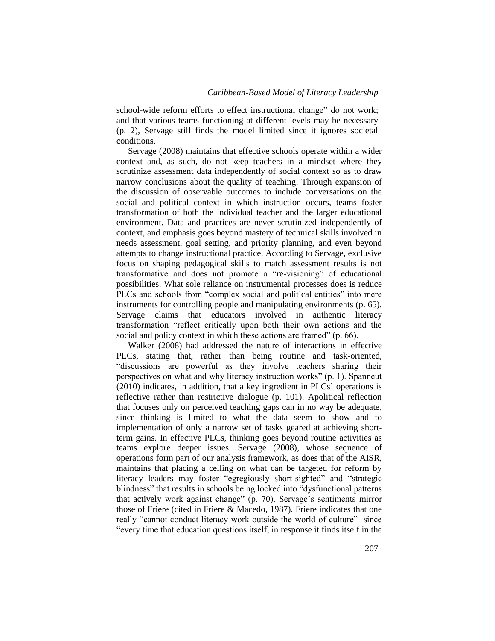school-wide reform efforts to effect instructional change" do not work; and that various teams functioning at different levels may be necessary (p. 2), Servage still finds the model limited since it ignores societal conditions.

Servage (2008) maintains that effective schools operate within a wider context and, as such, do not keep teachers in a mindset where they scrutinize assessment data independently of social context so as to draw narrow conclusions about the quality of teaching. Through expansion of the discussion of observable outcomes to include conversations on the social and political context in which instruction occurs, teams foster transformation of both the individual teacher and the larger educational environment. Data and practices are never scrutinized independently of context, and emphasis goes beyond mastery of technical skills involved in needs assessment, goal setting, and priority planning, and even beyond attempts to change instructional practice. According to Servage, exclusive focus on shaping pedagogical skills to match assessment results is not transformative and does not promote a "re-visioning" of educational possibilities. What sole reliance on instrumental processes does is reduce PLCs and schools from "complex social and political entities" into mere instruments for controlling people and manipulating environments (p. 65). Servage claims that educators involved in authentic literacy transformation "reflect critically upon both their own actions and the social and policy context in which these actions are framed"  $(p. 66)$ .

Walker (2008) had addressed the nature of interactions in effective PLCs, stating that, rather than being routine and task-oriented, "discussions are powerful as they involve teachers sharing their perspectives on what and why literacy instruction works" (p. 1). Spanneut (2010) indicates, in addition, that a key ingredient in PLCs' operations is reflective rather than restrictive dialogue (p. 101). Apolitical reflection that focuses only on perceived teaching gaps can in no way be adequate, since thinking is limited to what the data seem to show and to implementation of only a narrow set of tasks geared at achieving shortterm gains. In effective PLCs, thinking goes beyond routine activities as teams explore deeper issues. Servage (2008), whose sequence of operations form part of our analysis framework, as does that of the AISR, maintains that placing a ceiling on what can be targeted for reform by literacy leaders may foster "egregiously short-sighted" and "strategic blindness" that results in schools being locked into "dysfunctional patterns" that actively work against change" (p. 70). Servage's sentiments mirror those of Friere (cited in Friere & Macedo, 1987). Friere indicates that one really "cannot conduct literacy work outside the world of culture" since "every time that education questions itself, in response it finds itself in the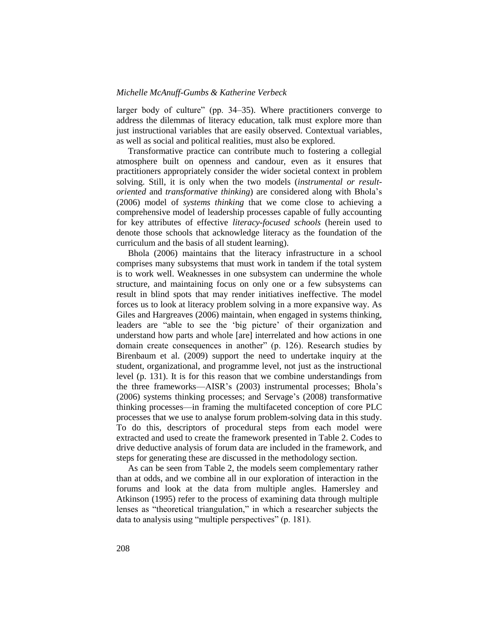larger body of culture" (pp. 34–35). Where practitioners converge to address the dilemmas of literacy education, talk must explore more than just instructional variables that are easily observed. Contextual variables, as well as social and political realities, must also be explored.

Transformative practice can contribute much to fostering a collegial atmosphere built on openness and candour, even as it ensures that practitioners appropriately consider the wider societal context in problem solving. Still, it is only when the two models (*instrumental or resultoriented* and *transformative thinking*) are considered along with Bhola's (2006) model of *systems thinking* that we come close to achieving a comprehensive model of leadership processes capable of fully accounting for key attributes of effective *literacy-focused schools* (herein used to denote those schools that acknowledge literacy as the foundation of the curriculum and the basis of all student learning).

Bhola (2006) maintains that the literacy infrastructure in a school comprises many subsystems that must work in tandem if the total system is to work well. Weaknesses in one subsystem can undermine the whole structure, and maintaining focus on only one or a few subsystems can result in blind spots that may render initiatives ineffective. The model forces us to look at literacy problem solving in a more expansive way. As Giles and Hargreaves (2006) maintain, when engaged in systems thinking, leaders are "able to see the 'big picture' of their organization and understand how parts and whole [are] interrelated and how actions in one domain create consequences in another" (p. 126). Research studies by Birenbaum et al. (2009) support the need to undertake inquiry at the student, organizational, and programme level, not just as the instructional level (p. 131). It is for this reason that we combine understandings from the three frameworks—AISR's (2003) instrumental processes; Bhola's (2006) systems thinking processes; and Servage's (2008) transformative thinking processes—in framing the multifaceted conception of core PLC processes that we use to analyse forum problem-solving data in this study. To do this, descriptors of procedural steps from each model were extracted and used to create the framework presented in Table 2. Codes to drive deductive analysis of forum data are included in the framework, and steps for generating these are discussed in the methodology section.

As can be seen from Table 2, the models seem complementary rather than at odds, and we combine all in our exploration of interaction in the forums and look at the data from multiple angles. Hamersley and Atkinson (1995) refer to the process of examining data through multiple lenses as "theoretical triangulation," in which a researcher subjects the data to analysis using "multiple perspectives" (p. 181).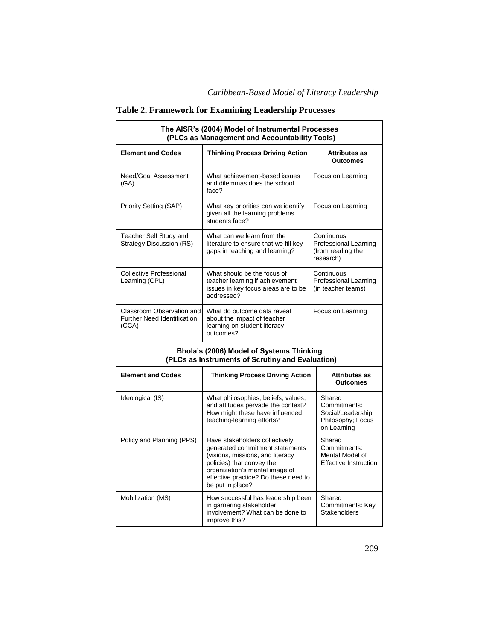| Table 2. Framework for Examining Leadership Processes |
|-------------------------------------------------------|
|-------------------------------------------------------|

| The AISR's (2004) Model of Instrumental Processes<br>(PLCs as Management and Accountability Tools) |                                                                                                                                                                                                                                  |                                                                                 |  |  |  |
|----------------------------------------------------------------------------------------------------|----------------------------------------------------------------------------------------------------------------------------------------------------------------------------------------------------------------------------------|---------------------------------------------------------------------------------|--|--|--|
| <b>Element and Codes</b>                                                                           | <b>Thinking Process Driving Action</b>                                                                                                                                                                                           | <b>Attributes as</b><br><b>Outcomes</b>                                         |  |  |  |
| Need/Goal Assessment<br>(GA)                                                                       | What achievement-based issues<br>and dilemmas does the school<br>face?                                                                                                                                                           | Focus on Learning                                                               |  |  |  |
| Priority Setting (SAP)                                                                             | What key priorities can we identify<br>given all the learning problems<br>students face?                                                                                                                                         | Focus on Learning                                                               |  |  |  |
| Teacher Self Study and<br><b>Strategy Discussion (RS)</b>                                          | What can we learn from the<br>literature to ensure that we fill key<br>gaps in teaching and learning?                                                                                                                            | Continuous<br><b>Professional Learning</b><br>(from reading the<br>research)    |  |  |  |
| Collective Professional<br>Learning (CPL)                                                          | What should be the focus of<br>teacher learning if achievement<br>issues in key focus areas are to be<br>addressed?                                                                                                              | Continuous<br>Professional Learning<br>(in teacher teams)                       |  |  |  |
| Classroom Observation and<br><b>Further Need Identification</b><br>(CCA)                           | What do outcome data reveal<br>about the impact of teacher<br>learning on student literacy<br>outcomes?                                                                                                                          | Focus on Learning                                                               |  |  |  |
|                                                                                                    | Bhola's (2006) Model of Systems Thinking<br>(PLCs as Instruments of Scrutiny and Evaluation)                                                                                                                                     |                                                                                 |  |  |  |
| <b>Element and Codes</b>                                                                           | <b>Thinking Process Driving Action</b>                                                                                                                                                                                           | <b>Attributes as</b><br><b>Outcomes</b>                                         |  |  |  |
| Ideological (IS)                                                                                   | What philosophies, beliefs, values,<br>and attitudes pervade the context?<br>How might these have influenced<br>teaching-learning efforts?                                                                                       | Shared<br>Commitments:<br>Social/Leadership<br>Philosophy; Focus<br>on Learning |  |  |  |
| Policy and Planning (PPS)                                                                          | Have stakeholders collectively<br>generated commitment statements<br>(visions, missions, and literacy<br>policies) that convey the<br>organization's mental image of<br>effective practice? Do these need to<br>be put in place? | Shared<br>Commitments:<br>Mental Model of<br><b>Effective Instruction</b>       |  |  |  |
| Mobilization (MS)                                                                                  | How successful has leadership been<br>in garnering stakeholder<br>involvement? What can be done to<br>improve this?                                                                                                              | Shared<br>Commitments: Key<br><b>Stakeholders</b>                               |  |  |  |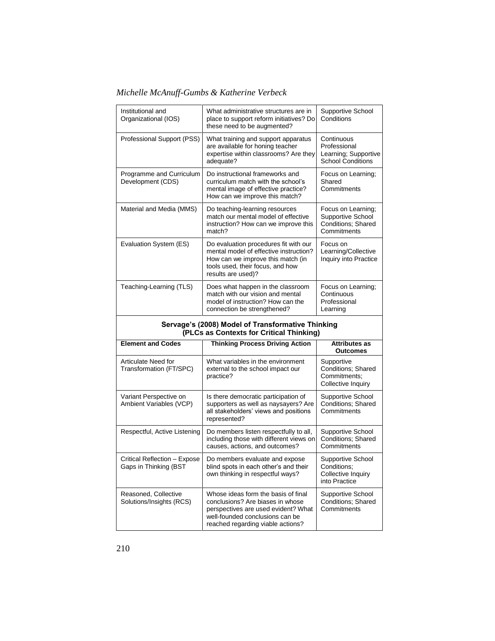| Institutional and<br>Organizational (IOS)             | What administrative structures are in<br>place to support reform initiatives? Do<br>these need to be augmented?                                                                | Supportive School<br>Conditions                                                |
|-------------------------------------------------------|--------------------------------------------------------------------------------------------------------------------------------------------------------------------------------|--------------------------------------------------------------------------------|
| Professional Support (PSS)                            | What training and support apparatus<br>are available for honing teacher<br>expertise within classrooms? Are they<br>adequate?                                                  | Continuous<br>Professional<br>Learning; Supportive<br><b>School Conditions</b> |
| Programme and Curriculum<br>Development (CDS)         | Do instructional frameworks and<br>curriculum match with the school's<br>mental image of effective practice?<br>How can we improve this match?                                 | Focus on Learning;<br>Shared<br>Commitments                                    |
| Material and Media (MMS)                              | Do teaching-learning resources<br>match our mental model of effective<br>instruction? How can we improve this<br>match?                                                        | Focus on Learning;<br>Supportive School<br>Conditions; Shared<br>Commitments   |
| Evaluation System (ES)                                | Do evaluation procedures fit with our<br>mental model of effective instruction?<br>How can we improve this match (in<br>tools used, their focus, and how<br>results are used)? | Focus on<br>Learning/Collective<br>Inquiry into Practice                       |
| Teaching-Learning (TLS)                               | Does what happen in the classroom<br>match with our vision and mental<br>model of instruction? How can the<br>connection be strengthened?                                      | Focus on Learning;<br>Continuous<br>Professional<br>Learning                   |
|                                                       |                                                                                                                                                                                |                                                                                |
|                                                       | Servage's (2008) Model of Transformative Thinking<br>(PLCs as Contexts for Critical Thinking)                                                                                  |                                                                                |
| <b>Element and Codes</b>                              | <b>Thinking Process Driving Action</b>                                                                                                                                         | <b>Attributes as</b><br><b>Outcomes</b>                                        |
| <b>Articulate Need for</b><br>Transformation (FT/SPC) | What variables in the environment<br>external to the school impact our<br>practice?                                                                                            | Supportive<br>Conditions: Shared<br>Commitments:<br>Collective Inquiry         |
| Variant Perspective on<br>Ambient Variables (VCP)     | Is there democratic participation of<br>supporters as well as naysayers? Are<br>all stakeholders' views and positions<br>represented?                                          | Supportive School<br><b>Conditions: Shared</b><br>Commitments                  |
| Respectful, Active Listening                          | Do members listen respectfully to all,<br>including those with different views on<br>causes, actions, and outcomes?                                                            | Supportive School<br><b>Conditions: Shared</b><br>Commitments                  |
| Critical Reflection - Expose<br>Gaps in Thinking (BST | Do members evaluate and expose<br>blind spots in each other's and their<br>own thinking in respectful ways?                                                                    | Supportive School<br>Conditions;<br>Collective Inquiry<br>into Practice        |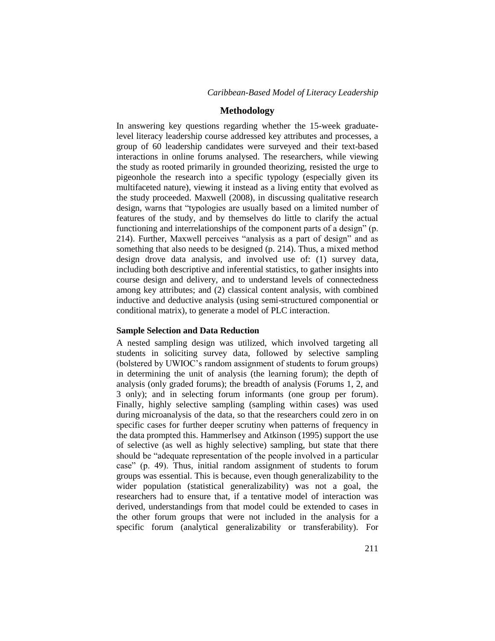## **Methodology**

In answering key questions regarding whether the 15-week graduatelevel literacy leadership course addressed key attributes and processes, a group of 60 leadership candidates were surveyed and their text-based interactions in online forums analysed. The researchers, while viewing the study as rooted primarily in grounded theorizing, resisted the urge to pigeonhole the research into a specific typology (especially given its multifaceted nature), viewing it instead as a living entity that evolved as the study proceeded. Maxwell (2008), in discussing qualitative research design, warns that "typologies are usually based on a limited number of features of the study, and by themselves do little to clarify the actual functioning and interrelationships of the component parts of a design" (p. 214). Further, Maxwell perceives "analysis as a part of design" and as something that also needs to be designed (p. 214). Thus, a mixed method design drove data analysis, and involved use of: (1) survey data, including both descriptive and inferential statistics, to gather insights into course design and delivery, and to understand levels of connectedness among key attributes; and (2) classical content analysis, with combined inductive and deductive analysis (using semi-structured componential or conditional matrix), to generate a model of PLC interaction.

## **Sample Selection and Data Reduction**

A nested sampling design was utilized, which involved targeting all students in soliciting survey data, followed by selective sampling (bolstered by UWIOC's random assignment of students to forum groups) in determining the unit of analysis (the learning forum); the depth of analysis (only graded forums); the breadth of analysis (Forums 1, 2, and 3 only); and in selecting forum informants (one group per forum). Finally, highly selective sampling (sampling within cases) was used during microanalysis of the data, so that the researchers could zero in on specific cases for further deeper scrutiny when patterns of frequency in the data prompted this. Hammerlsey and Atkinson (1995) support the use of selective (as well as highly selective) sampling, but state that there should be "adequate representation of the people involved in a particular case" (p. 49). Thus, initial random assignment of students to forum groups was essential. This is because, even though generalizability to the wider population (statistical generalizability) was not a goal, the researchers had to ensure that, if a tentative model of interaction was derived, understandings from that model could be extended to cases in the other forum groups that were not included in the analysis for a specific forum (analytical generalizability or transferability). For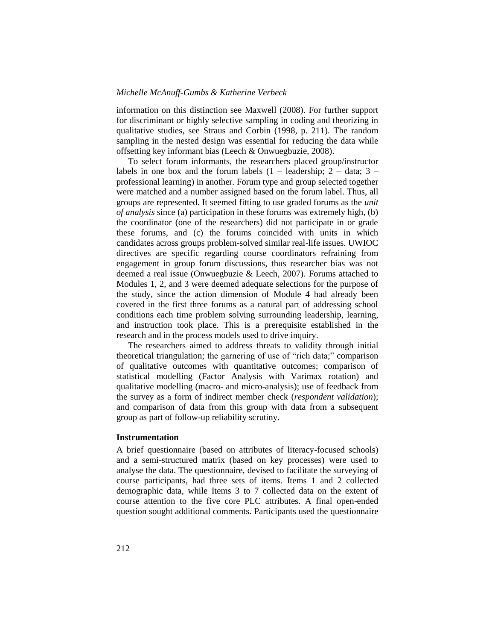information on this distinction see Maxwell (2008). For further support for discriminant or highly selective sampling in coding and theorizing in qualitative studies, see Straus and Corbin (1998, p. 211). The random sampling in the nested design was essential for reducing the data while offsetting key informant bias (Leech & Onwuegbuzie, 2008).

To select forum informants, the researchers placed group/instructor labels in one box and the forum labels  $(1 -$  leadership;  $2 -$  data;  $3$ professional learning) in another. Forum type and group selected together were matched and a number assigned based on the forum label. Thus, all groups are represented. It seemed fitting to use graded forums as the *unit of analysis* since (a) participation in these forums was extremely high, (b) the coordinator (one of the researchers) did not participate in or grade these forums, and (c) the forums coincided with units in which candidates across groups problem-solved similar real-life issues. UWIOC directives are specific regarding course coordinators refraining from engagement in group forum discussions, thus researcher bias was not deemed a real issue (Onwuegbuzie & Leech, 2007). Forums attached to Modules 1, 2, and 3 were deemed adequate selections for the purpose of the study, since the action dimension of Module 4 had already been covered in the first three forums as a natural part of addressing school conditions each time problem solving surrounding leadership, learning, and instruction took place. This is a prerequisite established in the research and in the process models used to drive inquiry.

The researchers aimed to address threats to validity through initial theoretical triangulation; the garnering of use of "rich data;" comparison of qualitative outcomes with quantitative outcomes; comparison of statistical modelling (Factor Analysis with Varimax rotation) and qualitative modelling (macro- and micro-analysis); use of feedback from the survey as a form of indirect member check (*respondent validation*); and comparison of data from this group with data from a subsequent group as part of follow-up reliability scrutiny.

### **Instrumentation**

A brief questionnaire (based on attributes of literacy-focused schools) and a semi-structured matrix (based on key processes) were used to analyse the data. The questionnaire, devised to facilitate the surveying of course participants, had three sets of items. Items 1 and 2 collected demographic data, while Items 3 to 7 collected data on the extent of course attention to the five core PLC attributes. A final open-ended question sought additional comments. Participants used the questionnaire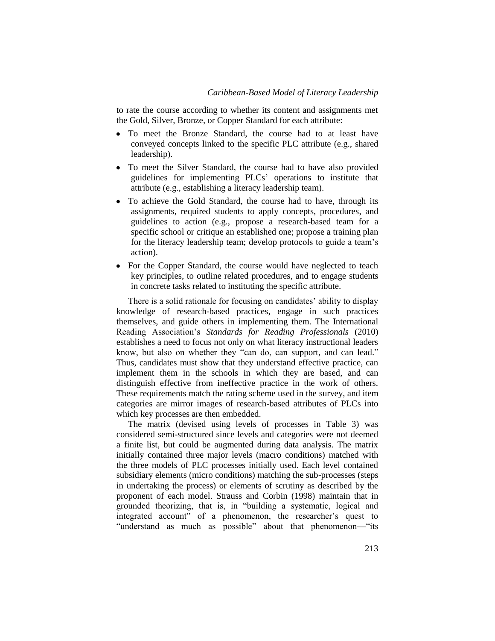to rate the course according to whether its content and assignments met the Gold, Silver, Bronze, or Copper Standard for each attribute:

- To meet the Bronze Standard, the course had to at least have conveyed concepts linked to the specific PLC attribute (e.g., shared leadership).
- To meet the Silver Standard, the course had to have also provided guidelines for implementing PLCs' operations to institute that attribute (e.g., establishing a literacy leadership team).
- To achieve the Gold Standard, the course had to have, through its assignments, required students to apply concepts, procedures, and guidelines to action (e.g., propose a research-based team for a specific school or critique an established one; propose a training plan for the literacy leadership team; develop protocols to guide a team's action).
- For the Copper Standard, the course would have neglected to teach key principles, to outline related procedures, and to engage students in concrete tasks related to instituting the specific attribute.

There is a solid rationale for focusing on candidates' ability to display knowledge of research-based practices, engage in such practices themselves, and guide others in implementing them. The International Reading Association's *Standards for Reading Professionals* (2010) establishes a need to focus not only on what literacy instructional leaders know, but also on whether they "can do, can support, and can lead." Thus, candidates must show that they understand effective practice, can implement them in the schools in which they are based, and can distinguish effective from ineffective practice in the work of others. These requirements match the rating scheme used in the survey, and item categories are mirror images of research-based attributes of PLCs into which key processes are then embedded.

The matrix (devised using levels of processes in Table 3) was considered semi-structured since levels and categories were not deemed a finite list, but could be augmented during data analysis. The matrix initially contained three major levels (macro conditions) matched with the three models of PLC processes initially used. Each level contained subsidiary elements (micro conditions) matching the sub-processes (steps in undertaking the process) or elements of scrutiny as described by the proponent of each model. Strauss and Corbin (1998) maintain that in grounded theorizing, that is, in "building a systematic, logical and integrated account" of a phenomenon, the researcher's quest to "understand as much as possible" about that phenomenon—"its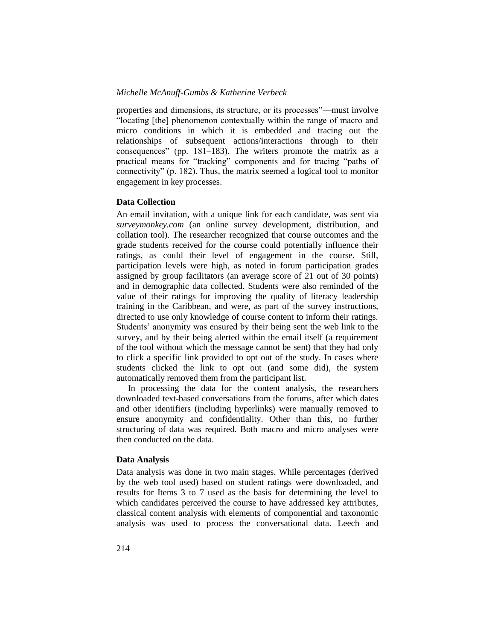properties and dimensions, its structure, or its processes"—must involve "locating [the] phenomenon contextually within the range of macro and micro conditions in which it is embedded and tracing out the relationships of subsequent actions/interactions through to their consequences" (pp.  $181-183$ ). The writers promote the matrix as a practical means for "tracking" components and for tracing "paths of connectivity" (p. 182). Thus, the matrix seemed a logical tool to monitor engagement in key processes.

#### **Data Collection**

An email invitation, with a unique link for each candidate, was sent via *surveymonkey.com* (an online survey development, distribution, and collation tool). The researcher recognized that course outcomes and the grade students received for the course could potentially influence their ratings, as could their level of engagement in the course. Still, participation levels were high, as noted in forum participation grades assigned by group facilitators (an average score of 21 out of 30 points) and in demographic data collected. Students were also reminded of the value of their ratings for improving the quality of literacy leadership training in the Caribbean, and were, as part of the survey instructions, directed to use only knowledge of course content to inform their ratings. Students' anonymity was ensured by their being sent the web link to the survey, and by their being alerted within the email itself (a requirement of the tool without which the message cannot be sent) that they had only to click a specific link provided to opt out of the study. In cases where students clicked the link to opt out (and some did), the system automatically removed them from the participant list.

In processing the data for the content analysis, the researchers downloaded text-based conversations from the forums, after which dates and other identifiers (including hyperlinks) were manually removed to ensure anonymity and confidentiality. Other than this, no further structuring of data was required. Both macro and micro analyses were then conducted on the data.

#### **Data Analysis**

Data analysis was done in two main stages. While percentages (derived by the web tool used) based on student ratings were downloaded, and results for Items 3 to 7 used as the basis for determining the level to which candidates perceived the course to have addressed key attributes, classical content analysis with elements of componential and taxonomic analysis was used to process the conversational data. Leech and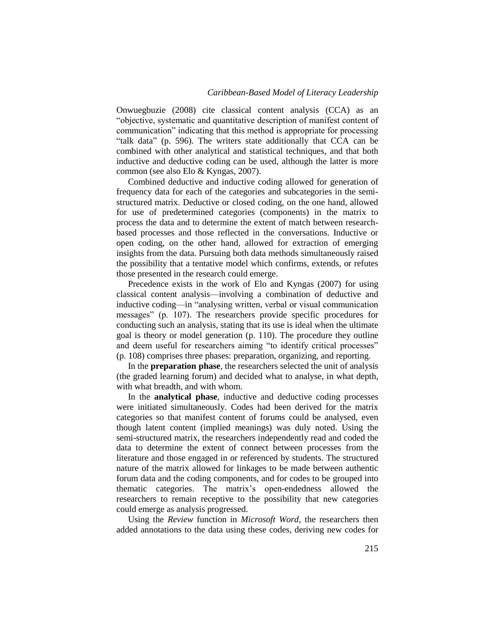Onwuegbuzie (2008) cite classical content analysis (CCA) as an "objective, systematic and quantitative description of manifest content of communication" indicating that this method is appropriate for processing "talk data" (p. 596). The writers state additionally that CCA can be combined with other analytical and statistical techniques, and that both inductive and deductive coding can be used, although the latter is more common (see also Elo & Kyngas, 2007).

Combined deductive and inductive coding allowed for generation of frequency data for each of the categories and subcategories in the semistructured matrix. Deductive or closed coding, on the one hand, allowed for use of predetermined categories (components) in the matrix to process the data and to determine the extent of match between researchbased processes and those reflected in the conversations. Inductive or open coding, on the other hand, allowed for extraction of emerging insights from the data. Pursuing both data methods simultaneously raised the possibility that a tentative model which confirms, extends, or refutes those presented in the research could emerge.

Precedence exists in the work of Elo and Kyngas (2007) for using classical content analysis—involving a combination of deductive and inductive coding—in "analysing written, verbal or visual communication messages" (p. 107). The researchers provide specific procedures for conducting such an analysis, stating that its use is ideal when the ultimate goal is theory or model generation (p. 110). The procedure they outline and deem useful for researchers aiming "to identify critical processes" (p. 108) comprises three phases: preparation, organizing, and reporting.

In the **preparation phase***,* the researchers selected the unit of analysis (the graded learning forum) and decided what to analyse, in what depth, with what breadth, and with whom.

In the **analytical phase**, inductive and deductive coding processes were initiated simultaneously. Codes had been derived for the matrix categories so that manifest content of forums could be analysed, even though latent content (implied meanings) was duly noted. Using the semi-structured matrix, the researchers independently read and coded the data to determine the extent of connect between processes from the literature and those engaged in or referenced by students. The structured nature of the matrix allowed for linkages to be made between authentic forum data and the coding components, and for codes to be grouped into thematic categories. The matrix's open-endedness allowed the researchers to remain receptive to the possibility that new categories could emerge as analysis progressed.

Using the *Review* function in *Microsoft Word*, the researchers then added annotations to the data using these codes, deriving new codes for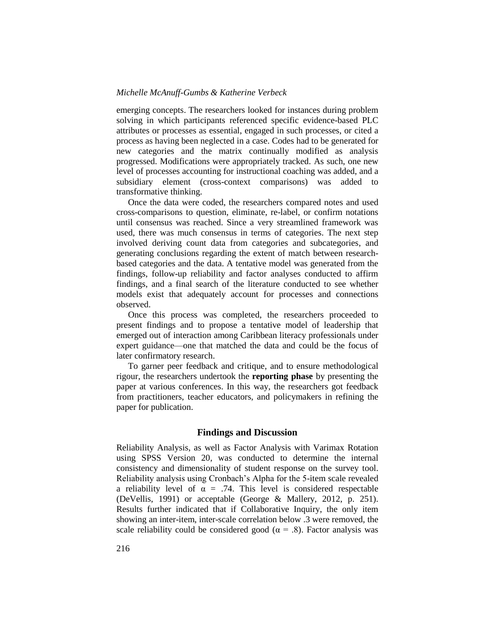emerging concepts. The researchers looked for instances during problem solving in which participants referenced specific evidence-based PLC attributes or processes as essential, engaged in such processes, or cited a process as having been neglected in a case. Codes had to be generated for new categories and the matrix continually modified as analysis progressed. Modifications were appropriately tracked. As such, one new level of processes accounting for instructional coaching was added, and a subsidiary element (cross-context comparisons) was added to transformative thinking.

Once the data were coded, the researchers compared notes and used cross-comparisons to question, eliminate, re-label, or confirm notations until consensus was reached. Since a very streamlined framework was used, there was much consensus in terms of categories. The next step involved deriving count data from categories and subcategories, and generating conclusions regarding the extent of match between researchbased categories and the data. A tentative model was generated from the findings, follow-up reliability and factor analyses conducted to affirm findings, and a final search of the literature conducted to see whether models exist that adequately account for processes and connections observed.

Once this process was completed, the researchers proceeded to present findings and to propose a tentative model of leadership that emerged out of interaction among Caribbean literacy professionals under expert guidance—one that matched the data and could be the focus of later confirmatory research.

To garner peer feedback and critique, and to ensure methodological rigour, the researchers undertook the **reporting phase** by presenting the paper at various conferences. In this way, the researchers got feedback from practitioners, teacher educators, and policymakers in refining the paper for publication.

## **Findings and Discussion**

Reliability Analysis, as well as Factor Analysis with Varimax Rotation using SPSS Version 20, was conducted to determine the internal consistency and dimensionality of student response on the survey tool. Reliability analysis using Cronbach's Alpha for the 5-item scale revealed a reliability level of  $\alpha = .74$ . This level is considered respectable (DeVellis, 1991) or acceptable (George & Mallery, 2012, p. 251). Results further indicated that if Collaborative Inquiry, the only item showing an inter-item, inter-scale correlation below .3 were removed, the scale reliability could be considered good ( $\alpha$  = .8). Factor analysis was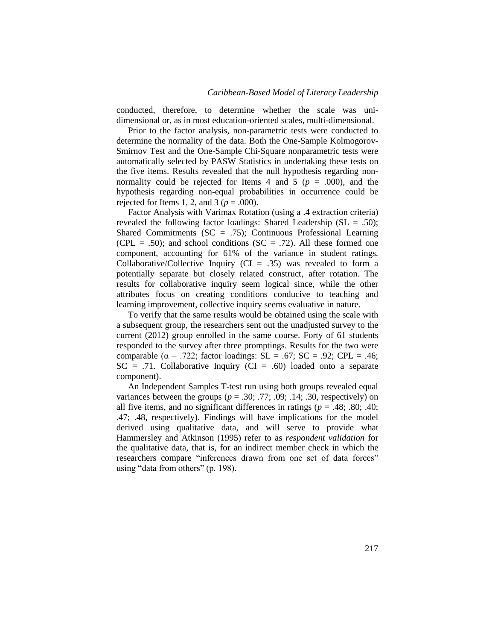conducted, therefore, to determine whether the scale was unidimensional or, as in most education-oriented scales, multi-dimensional.

Prior to the factor analysis, non-parametric tests were conducted to determine the normality of the data. Both the One-Sample Kolmogorov-Smirnov Test and the One-Sample Chi-Square nonparametric tests were automatically selected by PASW Statistics in undertaking these tests on the five items. Results revealed that the null hypothesis regarding nonnormality could be rejected for Items 4 and 5 ( $p = .000$ ), and the hypothesis regarding non-equal probabilities in occurrence could be rejected for Items 1, 2, and 3 ( $p = .000$ ).

Factor Analysis with Varimax Rotation (using a .4 extraction criteria) revealed the following factor loadings: Shared Leadership (SL = .50); Shared Commitments  $(SC = .75)$ ; Continuous Professional Learning (CPL = .50); and school conditions ( $SC = .72$ ). All these formed one component, accounting for 61% of the variance in student ratings. Collaborative/Collective Inquiry ( $CI = .35$ ) was revealed to form a potentially separate but closely related construct, after rotation. The results for collaborative inquiry seem logical since, while the other attributes focus on creating conditions conducive to teaching and learning improvement, collective inquiry seems evaluative in nature.

To verify that the same results would be obtained using the scale with a subsequent group, the researchers sent out the unadjusted survey to the current (2012) group enrolled in the same course. Forty of 61 students responded to the survey after three promptings. Results for the two were comparable ( $\alpha$  = .722; factor loadings: SL = .67; SC = .92; CPL = .46;  $SC = .71$ . Collaborative Inquiry ( $CI = .60$ ) loaded onto a separate component).

An Independent Samples T-test run using both groups revealed equal variances between the groups ( $p = .30; .77; .09; .14; .30$ , respectively) on all five items, and no significant differences in ratings ( $p = .48$ ; .80; .40; .47; .48, respectively). Findings will have implications for the model derived using qualitative data, and will serve to provide what Hammersley and Atkinson (1995) refer to as *respondent validation* for the qualitative data, that is, for an indirect member check in which the researchers compare "inferences drawn from one set of data forces" using "data from others"  $(p. 198)$ .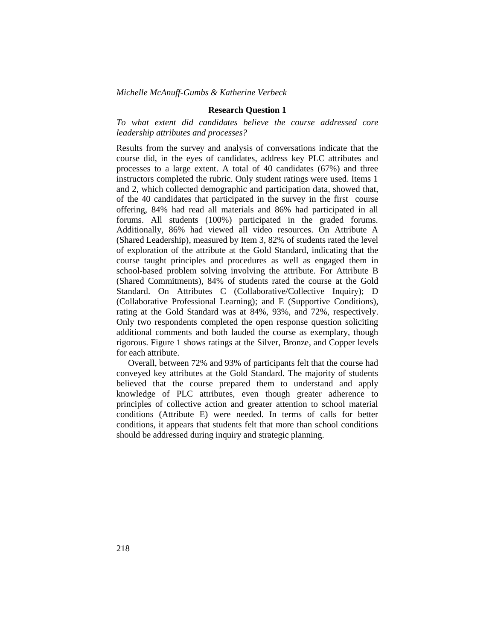### **Research Question 1**

*To what extent did candidates believe the course addressed core leadership attributes and processes?*

Results from the survey and analysis of conversations indicate that the course did, in the eyes of candidates, address key PLC attributes and processes to a large extent. A total of 40 candidates (67%) and three instructors completed the rubric. Only student ratings were used. Items 1 and 2, which collected demographic and participation data, showed that, of the 40 candidates that participated in the survey in the first course offering, 84% had read all materials and 86% had participated in all forums. All students (100%) participated in the graded forums. Additionally, 86% had viewed all video resources. On Attribute A (Shared Leadership), measured by Item 3, 82% of students rated the level of exploration of the attribute at the Gold Standard, indicating that the course taught principles and procedures as well as engaged them in school-based problem solving involving the attribute. For Attribute B (Shared Commitments), 84% of students rated the course at the Gold Standard. On Attributes C (Collaborative/Collective Inquiry); D (Collaborative Professional Learning); and E (Supportive Conditions), rating at the Gold Standard was at 84%, 93%, and 72%, respectively. Only two respondents completed the open response question soliciting additional comments and both lauded the course as exemplary, though rigorous. Figure 1 shows ratings at the Silver, Bronze, and Copper levels for each attribute.

Overall, between 72% and 93% of participants felt that the course had conveyed key attributes at the Gold Standard. The majority of students believed that the course prepared them to understand and apply knowledge of PLC attributes, even though greater adherence to principles of collective action and greater attention to school material conditions (Attribute E) were needed. In terms of calls for better conditions, it appears that students felt that more than school conditions should be addressed during inquiry and strategic planning.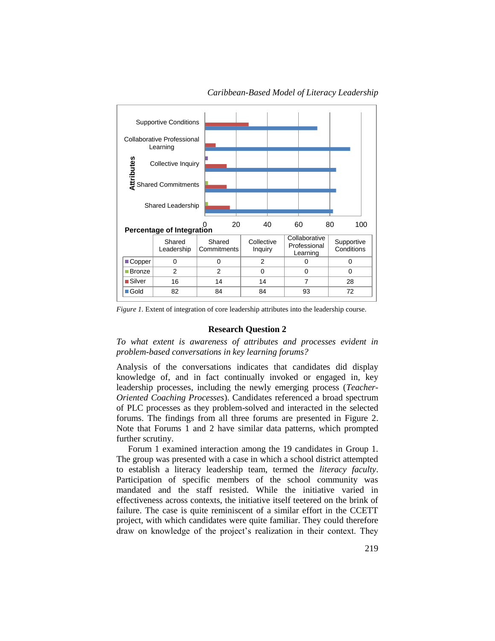

*Caribbean-Based Model of Literacy Leadership*

*Figure 1.* Extent of integration of core leadership attributes into the leadership course.

## **Research Question 2**

*To what extent is awareness of attributes and processes evident in problem-based conversations in key learning forums?*

Analysis of the conversations indicates that candidates did display knowledge of, and in fact continually invoked or engaged in, key leadership processes, including the newly emerging process (*Teacher-Oriented Coaching Processes*). Candidates referenced a broad spectrum of PLC processes as they problem-solved and interacted in the selected forums. The findings from all three forums are presented in Figure 2. Note that Forums 1 and 2 have similar data patterns, which prompted further scrutiny.

Forum 1 examined interaction among the 19 candidates in Group 1. The group was presented with a case in which a school district attempted to establish a literacy leadership team, termed the *literacy faculty*. Participation of specific members of the school community was mandated and the staff resisted. While the initiative varied in effectiveness across contexts, the initiative itself teetered on the brink of failure. The case is quite reminiscent of a similar effort in the CCETT project, with which candidates were quite familiar. They could therefore draw on knowledge of the project's realization in their context. They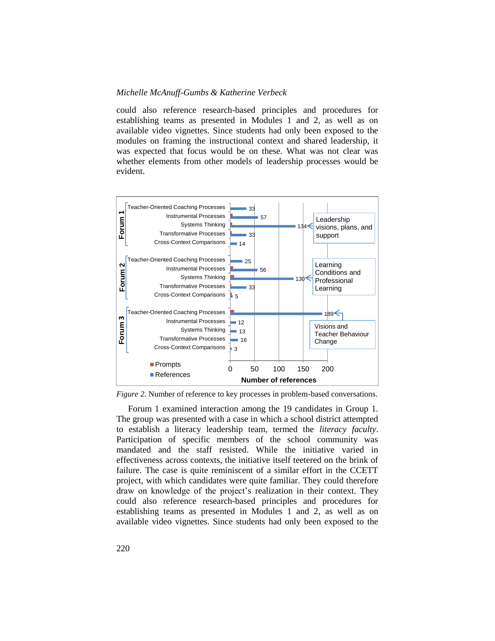could also reference research-based principles and procedures for establishing teams as presented in Modules 1 and 2, as well as on available video vignettes. Since students had only been exposed to the modules on framing the instructional context and shared leadership, it was expected that focus would be on these. What was not clear was whether elements from other models of leadership processes would be evident.



*Figure 2.* Number of reference to key processes in problem-based conversations.

Forum 1 examined interaction among the 19 candidates in Group 1. The group was presented with a case in which a school district attempted to establish a literacy leadership team, termed the *literacy faculty*. Participation of specific members of the school community was mandated and the staff resisted. While the initiative varied in effectiveness across contexts, the initiative itself teetered on the brink of failure. The case is quite reminiscent of a similar effort in the CCETT project, with which candidates were quite familiar. They could therefore draw on knowledge of the project's realization in their context. They could also reference research-based principles and procedures for establishing teams as presented in Modules 1 and 2, as well as on available video vignettes. Since students had only been exposed to the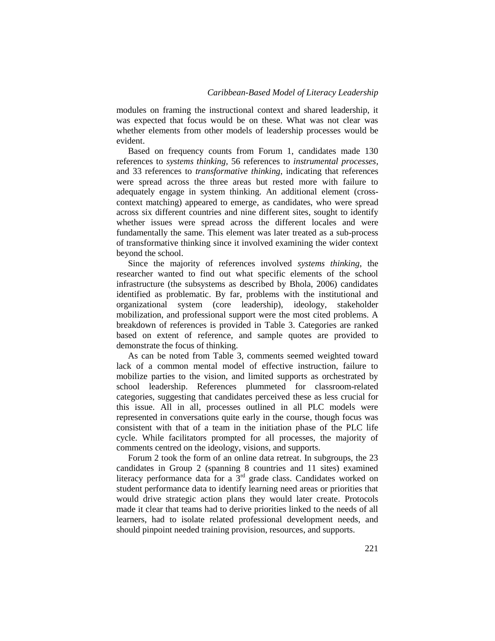modules on framing the instructional context and shared leadership, it was expected that focus would be on these. What was not clear was whether elements from other models of leadership processes would be evident.

Based on frequency counts from Forum 1, candidates made 130 references to *systems thinking,* 56 references to *instrumental processes*, and 33 references to *transformative thinking*, indicating that references were spread across the three areas but rested more with failure to adequately engage in system thinking. An additional element (crosscontext matching) appeared to emerge, as candidates, who were spread across six different countries and nine different sites, sought to identify whether issues were spread across the different locales and were fundamentally the same. This element was later treated as a sub-process of transformative thinking since it involved examining the wider context beyond the school.

Since the majority of references involved *systems thinking*, the researcher wanted to find out what specific elements of the school infrastructure (the subsystems as described by Bhola, 2006) candidates identified as problematic. By far, problems with the institutional and organizational system (core leadership), ideology, stakeholder mobilization, and professional support were the most cited problems. A breakdown of references is provided in Table 3. Categories are ranked based on extent of reference, and sample quotes are provided to demonstrate the focus of thinking.

As can be noted from Table 3, comments seemed weighted toward lack of a common mental model of effective instruction, failure to mobilize parties to the vision, and limited supports as orchestrated by school leadership. References plummeted for classroom-related categories, suggesting that candidates perceived these as less crucial for this issue. All in all, processes outlined in all PLC models were represented in conversations quite early in the course, though focus was consistent with that of a team in the initiation phase of the PLC life cycle. While facilitators prompted for all processes, the majority of comments centred on the ideology, visions, and supports.

Forum 2 took the form of an online data retreat. In subgroups, the 23 candidates in Group 2 (spanning 8 countries and 11 sites) examined literacy performance data for a 3<sup>rd</sup> grade class. Candidates worked on student performance data to identify learning need areas or priorities that would drive strategic action plans they would later create. Protocols made it clear that teams had to derive priorities linked to the needs of all learners, had to isolate related professional development needs, and should pinpoint needed training provision, resources, and supports.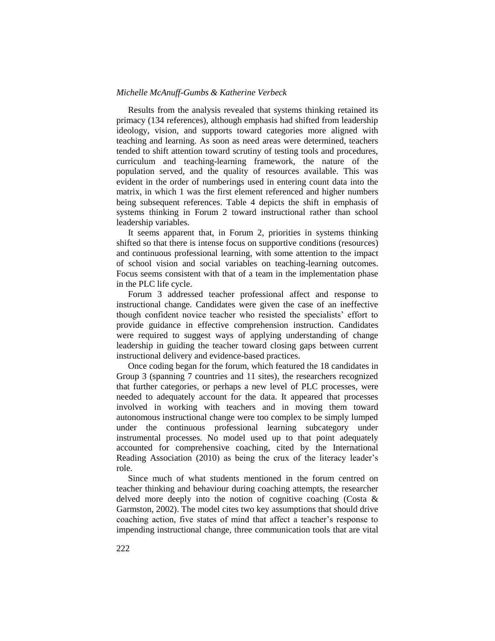Results from the analysis revealed that systems thinking retained its primacy (134 references), although emphasis had shifted from leadership ideology, vision, and supports toward categories more aligned with teaching and learning. As soon as need areas were determined, teachers tended to shift attention toward scrutiny of testing tools and procedures, curriculum and teaching-learning framework, the nature of the population served, and the quality of resources available. This was evident in the order of numberings used in entering count data into the matrix, in which 1 was the first element referenced and higher numbers being subsequent references. Table 4 depicts the shift in emphasis of systems thinking in Forum 2 toward instructional rather than school leadership variables.

It seems apparent that, in Forum 2, priorities in systems thinking shifted so that there is intense focus on supportive conditions (resources) and continuous professional learning, with some attention to the impact of school vision and social variables on teaching-learning outcomes. Focus seems consistent with that of a team in the implementation phase in the PLC life cycle.

Forum 3 addressed teacher professional affect and response to instructional change. Candidates were given the case of an ineffective though confident novice teacher who resisted the specialists' effort to provide guidance in effective comprehension instruction. Candidates were required to suggest ways of applying understanding of change leadership in guiding the teacher toward closing gaps between current instructional delivery and evidence-based practices.

Once coding began for the forum, which featured the 18 candidates in Group 3 (spanning 7 countries and 11 sites), the researchers recognized that further categories, or perhaps a new level of PLC processes, were needed to adequately account for the data. It appeared that processes involved in working with teachers and in moving them toward autonomous instructional change were too complex to be simply lumped under the continuous professional learning subcategory under instrumental processes. No model used up to that point adequately accounted for comprehensive coaching, cited by the International Reading Association (2010) as being the crux of the literacy leader's role.

Since much of what students mentioned in the forum centred on teacher thinking and behaviour during coaching attempts, the researcher delved more deeply into the notion of cognitive coaching (Costa & Garmston, 2002). The model cites two key assumptions that should drive coaching action, five states of mind that affect a teacher's response to impending instructional change, three communication tools that are vital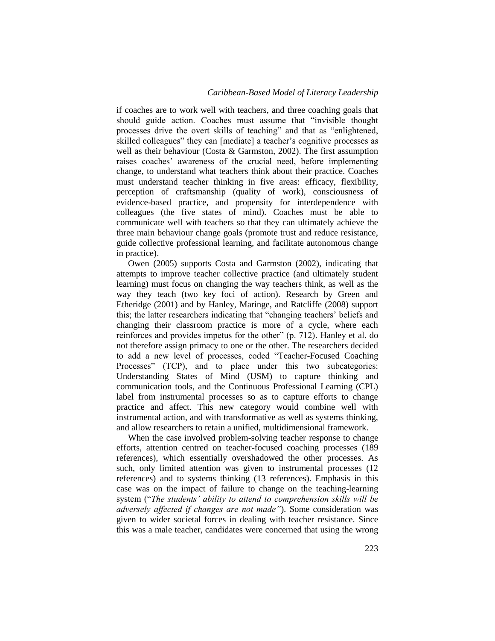if coaches are to work well with teachers, and three coaching goals that should guide action. Coaches must assume that "invisible thought processes drive the overt skills of teaching" and that as "enlightened, skilled colleagues" they can [mediate] a teacher's cognitive processes as well as their behaviour (Costa & Garmston, 2002). The first assumption raises coaches' awareness of the crucial need, before implementing change, to understand what teachers think about their practice. Coaches must understand teacher thinking in five areas: efficacy, flexibility, perception of craftsmanship (quality of work), consciousness of evidence-based practice, and propensity for interdependence with colleagues (the five states of mind). Coaches must be able to communicate well with teachers so that they can ultimately achieve the three main behaviour change goals (promote trust and reduce resistance, guide collective professional learning, and facilitate autonomous change in practice).

Owen (2005) supports Costa and Garmston (2002), indicating that attempts to improve teacher collective practice (and ultimately student learning) must focus on changing the way teachers think, as well as the way they teach (two key foci of action). Research by Green and Etheridge (2001) and by Hanley, Maringe, and Ratcliffe (2008) support this; the latter researchers indicating that "changing teachers' beliefs and changing their classroom practice is more of a cycle, where each reinforces and provides impetus for the other" (p. 712). Hanley et al. do not therefore assign primacy to one or the other. The researchers decided to add a new level of processes, coded "Teacher-Focused Coaching Processes" (TCP), and to place under this two subcategories: Understanding States of Mind (USM) to capture thinking and communication tools, and the Continuous Professional Learning (CPL) label from instrumental processes so as to capture efforts to change practice and affect. This new category would combine well with instrumental action, and with transformative as well as systems thinking, and allow researchers to retain a unified, multidimensional framework.

When the case involved problem-solving teacher response to change efforts, attention centred on teacher-focused coaching processes (189 references), which essentially overshadowed the other processes. As such, only limited attention was given to instrumental processes (12 references) and to systems thinking (13 references). Emphasis in this case was on the impact of failure to change on the teaching-learning system ("The students' ability to attend to comprehension skills will be *adversely affected if changes are not made"*). Some consideration was given to wider societal forces in dealing with teacher resistance. Since this was a male teacher, candidates were concerned that using the wrong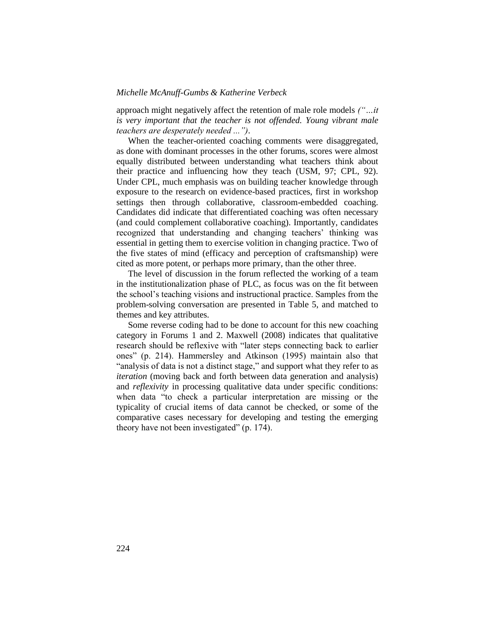approach might negatively affect the retention of male role models *("…it is very important that the teacher is not offended. Young vibrant male teachers are desperately needed ...")*.

When the teacher-oriented coaching comments were disaggregated, as done with dominant processes in the other forums, scores were almost equally distributed between understanding what teachers think about their practice and influencing how they teach (USM, 97; CPL, 92). Under CPL, much emphasis was on building teacher knowledge through exposure to the research on evidence-based practices, first in workshop settings then through collaborative, classroom-embedded coaching. Candidates did indicate that differentiated coaching was often necessary (and could complement collaborative coaching). Importantly, candidates recognized that understanding and changing teachers' thinking was essential in getting them to exercise volition in changing practice. Two of the five states of mind (efficacy and perception of craftsmanship) were cited as more potent, or perhaps more primary, than the other three.

The level of discussion in the forum reflected the working of a team in the institutionalization phase of PLC, as focus was on the fit between the school's teaching visions and instructional practice. Samples from the problem-solving conversation are presented in Table 5, and matched to themes and key attributes.

Some reverse coding had to be done to account for this new coaching category in Forums 1 and 2. Maxwell (2008) indicates that qualitative research should be reflexive with "later steps connecting back to earlier ones" (p. 214). Hammersley and Atkinson (1995) maintain also that "analysis of data is not a distinct stage," and support what they refer to as *iteration* (moving back and forth between data generation and analysis) and *reflexivity* in processing qualitative data under specific conditions: when data "to check a particular interpretation are missing or the typicality of crucial items of data cannot be checked, or some of the comparative cases necessary for developing and testing the emerging theory have not been investigated" (p. 174).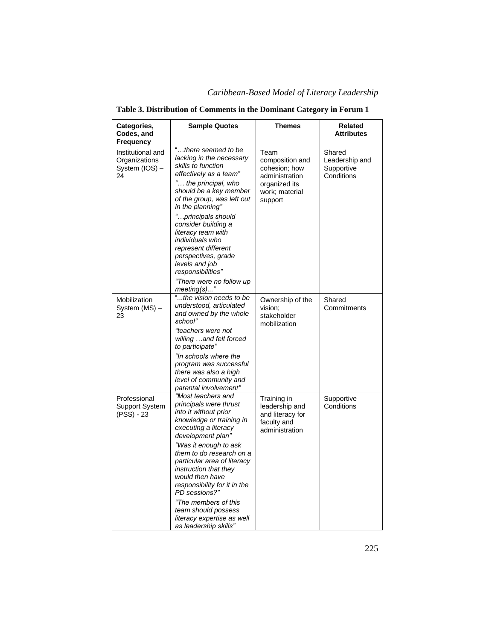| Categories,<br>Codes, and<br>Frequency                     | <b>Sample Quotes</b>                                                                                                                                                                                                                                                                                                                                                                                                                  | <b>Themes</b>                                                                                            | Related<br><b>Attributes</b>                         |
|------------------------------------------------------------|---------------------------------------------------------------------------------------------------------------------------------------------------------------------------------------------------------------------------------------------------------------------------------------------------------------------------------------------------------------------------------------------------------------------------------------|----------------------------------------------------------------------------------------------------------|------------------------------------------------------|
| Institutional and<br>Organizations<br>System (IOS) -<br>24 | "there seemed to be<br>lacking in the necessary<br>skills to function<br>effectively as a team"<br>" the principal, who<br>should be a key member<br>of the group, was left out<br>in the planning"<br>"principals should<br>consider building a<br>literacy team with<br>individuals who<br>represent different<br>perspectives, grade<br>levels and job<br>responsibilities"<br>"There were no follow up<br>meeting(s)"             | Team<br>composition and<br>cohesion; how<br>administration<br>organized its<br>work; material<br>support | Shared<br>Leadership and<br>Supportive<br>Conditions |
| Mobilization<br>System (MS) -<br>23                        | "the vision needs to be<br>understood, articulated<br>and owned by the whole<br>school"<br>"teachers were not<br>willing and felt forced<br>to participate"<br>"In schools where the<br>program was successful<br>there was also a high<br>level of community and<br>parental involvement"                                                                                                                                            | Ownership of the<br>vision;<br>stakeholder<br>mobilization                                               | Shared<br>Commitments                                |
| Professional<br>Support System<br>(PSS) - 23               | "Most teachers and<br>principals were thrust<br>into it without prior<br>knowledge or training in<br>executing a literacy<br>development plan"<br>"Was it enough to ask<br>them to do research on a<br>particular area of literacy<br>instruction that they<br>would then have<br>responsibility for it in the<br>PD sessions?"<br>"The members of this<br>team should possess<br>literacy expertise as well<br>as leadership skills" | Training in<br>leadership and<br>and literacy for<br>faculty and<br>administration                       | Supportive<br>Conditions                             |

# **Table 3. Distribution of Comments in the Dominant Category in Forum 1**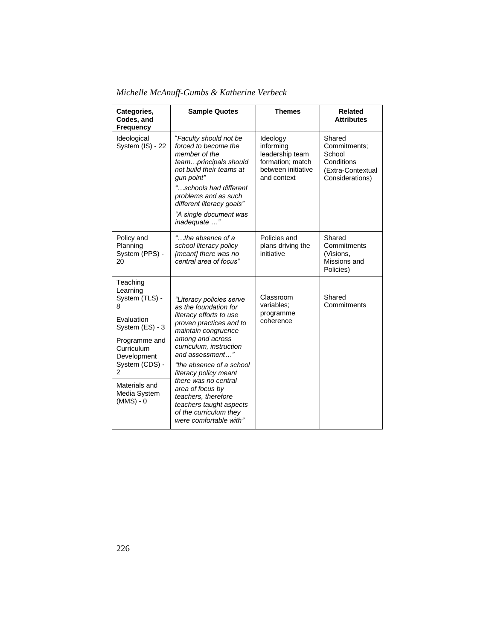| Michelle McAnuff-Gumbs & Katherine Verbeck |  |  |  |  |  |
|--------------------------------------------|--|--|--|--|--|
|--------------------------------------------|--|--|--|--|--|

| Categories,<br>Codes, and<br><b>Frequency</b>                | <b>Sample Quotes</b>                                                                                                               | <b>Themes</b>                                                                                     | <b>Related</b><br><b>Attributes</b>                                                    |
|--------------------------------------------------------------|------------------------------------------------------------------------------------------------------------------------------------|---------------------------------------------------------------------------------------------------|----------------------------------------------------------------------------------------|
| Ideological<br>System (IS) - 22                              | "Faculty should not be<br>forced to become the<br>member of the<br>teamprincipals should<br>not build their teams at<br>gun point" | Ideology<br>informing<br>leadership team<br>formation; match<br>between initiative<br>and context | Shared<br>Commitments:<br>School<br>Conditions<br>(Extra-Contextual<br>Considerations) |
|                                                              | "schools had different<br>problems and as such<br>different literacy goals"                                                        |                                                                                                   |                                                                                        |
|                                                              | "A single document was<br>inadequate "                                                                                             |                                                                                                   |                                                                                        |
| Policy and<br>Planning<br>System (PPS) -<br>20               | "the absence of a<br>school literacy policy<br>[meant] there was no<br>central area of focus"                                      | Policies and<br>plans driving the<br>initiative                                                   | Shared<br>Commitments<br>(Visions,<br>Missions and<br>Policies)                        |
| Teaching<br>Learning<br>System (TLS) -<br>8                  | "Literacy policies serve<br>as the foundation for                                                                                  | Classroom<br>variables;<br>programme                                                              | Shared<br>Commitments                                                                  |
| Evaluation<br>System (ES) - 3                                | literacy efforts to use<br>proven practices and to<br>maintain congruence                                                          | coherence                                                                                         |                                                                                        |
| Programme and<br>Curriculum<br>Development<br>System (CDS) - | among and across<br>curriculum, instruction<br>and assessment"<br>"the absence of a school                                         |                                                                                                   |                                                                                        |
| 2                                                            | literacy policy meant<br>there was no central                                                                                      |                                                                                                   |                                                                                        |
| Materials and<br>Media System<br>$(MMS) - 0$                 | area of focus by<br>teachers, therefore<br>teachers taught aspects<br>of the curriculum they<br>were comfortable with"             |                                                                                                   |                                                                                        |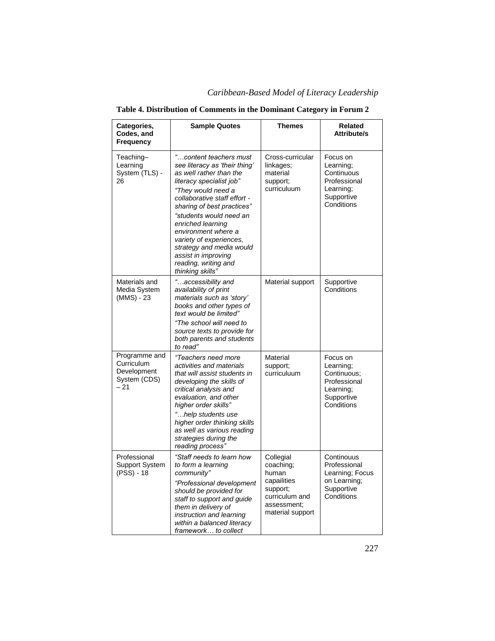| Categories,<br>Codes, and<br>Frequency                              | <b>Sample Quotes</b>                                                                                                                                                                                                                                                                                                                                                                                | <b>Themes</b>                                                                                                   | Related<br><b>Attribute/s</b>                                                                 |
|---------------------------------------------------------------------|-----------------------------------------------------------------------------------------------------------------------------------------------------------------------------------------------------------------------------------------------------------------------------------------------------------------------------------------------------------------------------------------------------|-----------------------------------------------------------------------------------------------------------------|-----------------------------------------------------------------------------------------------|
| Teaching-<br>Learning<br>System (TLS) -<br>26                       | "content teachers must<br>see literacy as 'their thing'<br>as well rather than the<br>literacy specialist job"<br>"They would need a<br>collaborative staff effort -<br>sharing of best practices"<br>"students would need an<br>enriched learning<br>environment where a<br>variety of experiences,<br>strategy and media would<br>assist in improving<br>reading, writing and<br>thinking skills" | Cross-curricular<br>linkages;<br>material<br>support;<br>curriculuum                                            | Focus on<br>Learning;<br>Continuous<br>Professional<br>Learning:<br>Supportive<br>Conditions  |
| Materials and<br>Media System<br>(MMS) - 23                         | "accessibility and<br>availability of print<br>materials such as 'story'<br>books and other types of<br>text would be limited"<br>"The school will need to<br>source texts to provide for<br>both parents and students<br>to read"                                                                                                                                                                  | Material support                                                                                                | Supportive<br>Conditions                                                                      |
| Programme and<br>Curriculum<br>Development<br>System (CDS)<br>$-21$ | "Teachers need more<br>activities and materials<br>that will assist students in<br>developing the skills of<br>critical analysis and<br>evaluation, and other<br>higher order skills"<br>"help students use<br>higher order thinking skills<br>as well as various reading<br>strategies during the<br>reading process"                                                                              | Material<br>support;<br>curriculuum                                                                             | Focus on<br>Learning;<br>Continuous:<br>Professional<br>Learning:<br>Supportive<br>Conditions |
| Professional<br><b>Support System</b><br>(PSS) - 18                 | "Staff needs to learn how<br>to form a learning<br>community"<br>"Professional development<br>should be provided for<br>staff to support and guide<br>them in delivery of<br>instruction and learning<br>within a balanced literacy<br>framework to collect                                                                                                                                         | Collegial<br>coaching;<br>human<br>capailities<br>support;<br>curriculum and<br>assessment;<br>material support | Continouus<br>Professional<br>Learning; Focus<br>on Learning;<br>Supportive<br>Conditions     |

## **Table 4. Distribution of Comments in the Dominant Category in Forum 2**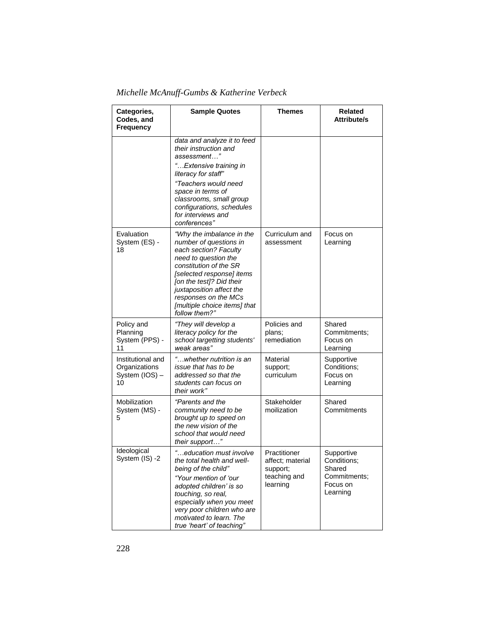| Categories,<br>Codes, and<br><b>Frequency</b>              | <b>Sample Quotes</b>                                                                                                                                                                                                                                                                         | <b>Themes</b>                                                            | Related<br><b>Attribute/s</b>                                               |
|------------------------------------------------------------|----------------------------------------------------------------------------------------------------------------------------------------------------------------------------------------------------------------------------------------------------------------------------------------------|--------------------------------------------------------------------------|-----------------------------------------------------------------------------|
|                                                            | data and analyze it to feed<br>their instruction and<br>assessment"<br>" Extensive training in<br>literacy for staff"<br>"Teachers would need                                                                                                                                                |                                                                          |                                                                             |
|                                                            | space in terms of<br>classrooms, small group<br>configurations, schedules<br>for interviews and<br>conferences"                                                                                                                                                                              |                                                                          |                                                                             |
| Evaluation<br>System (ES) -<br>18                          | "Why the imbalance in the<br>number of questions in<br>each section? Faculty<br>need to question the<br>constitution of the SR<br>[selected response] items<br>[on the test]? Did their<br>juxtaposition affect the<br>responses on the MCs<br>[multiple choice items] that<br>follow them?" | Curriculum and<br>assessment                                             | Focus on<br>Learning                                                        |
| Policy and<br>Planning<br>System (PPS) -<br>11             | "They will develop a<br>literacy policy for the<br>school targetting students'<br>weak areas"                                                                                                                                                                                                | Policies and<br>plans;<br>remediation                                    | Shared<br>Commitments;<br>Focus on<br>Learning                              |
| Institutional and<br>Organizations<br>System (IOS) -<br>10 | "whether nutrition is an<br>issue that has to be<br>addressed so that the<br>students can focus on<br>their work"                                                                                                                                                                            | Material<br>support;<br>curriculum                                       | Supportive<br>Conditions:<br>Focus on<br>Learning                           |
| Mobilization<br>System (MS) -<br>5                         | "Parents and the<br>community need to be<br>brought up to speed on<br>the new vision of the<br>school that would need<br>their support"                                                                                                                                                      | Stakeholder<br>moilization                                               | Shared<br>Commitments                                                       |
| Ideological<br>System (IS) -2                              | "education must involve<br>the total health and well-<br>being of the child"<br>"Your mention of 'our<br>adopted children' is so<br>touching, so real,<br>especially when you meet<br>very poor children who are<br>motivated to learn. The<br>true 'heart' of teaching"                     | Practitioner<br>affect; material<br>support;<br>teaching and<br>learning | Supportive<br>Conditions:<br>Shared<br>Commitments;<br>Focus on<br>Learning |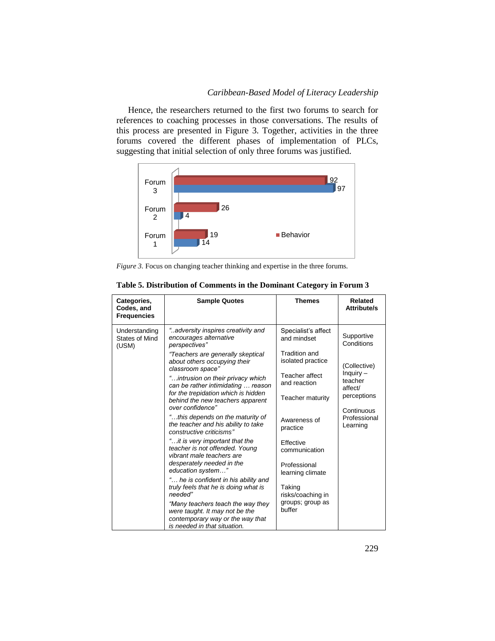Hence, the researchers returned to the first two forums to search for references to coaching processes in those conversations. The results of this process are presented in Figure 3. Together, activities in the three forums covered the different phases of implementation of PLCs, suggesting that initial selection of only three forums was justified.



*Figure 3.* Focus on changing teacher thinking and expertise in the three forums.

| Categories,<br>Codes, and<br><b>Frequencies</b> | <b>Sample Quotes</b>                                                                                                                                                                                                                                                                                                                                                                                                                                                                                                                                                                                                                                                                                                                                                                                                                             | <b>Themes</b>                                                                                                                                                                                                                                                                                    | <b>Related</b><br>Attribute/s                                                                                                        |
|-------------------------------------------------|--------------------------------------------------------------------------------------------------------------------------------------------------------------------------------------------------------------------------------------------------------------------------------------------------------------------------------------------------------------------------------------------------------------------------------------------------------------------------------------------------------------------------------------------------------------------------------------------------------------------------------------------------------------------------------------------------------------------------------------------------------------------------------------------------------------------------------------------------|--------------------------------------------------------------------------------------------------------------------------------------------------------------------------------------------------------------------------------------------------------------------------------------------------|--------------------------------------------------------------------------------------------------------------------------------------|
| Understanding<br><b>States of Mind</b><br>(USM) | "adversity inspires creativity and<br>encourages alternative<br>perspectives"<br>"Teachers are generally skeptical<br>about others occupying their<br>classroom space"<br>"intrusion on their privacy which<br>can be rather intimidating  reason<br>for the trepidation which is hidden<br>behind the new teachers apparent<br>over confidence"<br>"this depends on the maturity of<br>the teacher and his ability to take<br>constructive criticisms"<br>"it is very important that the<br>teacher is not offended. Young<br>vibrant male teachers are<br>desperately needed in the<br>education system"<br>" he is confident in his ability and<br>truly feels that he is doing what is<br>needed"<br>"Many teachers teach the way they<br>were taught. It may not be the<br>contemporary way or the way that<br>is needed in that situation. | Specialist's affect<br>and mindset<br>Tradition and<br>isolated practice<br>Teacher affect<br>and reaction<br>Teacher maturity<br>Awareness of<br>practice<br><b>Fffective</b><br>communication<br>Professional<br>learning climate<br>Taking<br>risks/coaching in<br>groups; group as<br>buffer | Supportive<br>Conditions<br>(Collective)<br>Inquiry -<br>teacher<br>affect/<br>perceptions<br>Continuous<br>Professional<br>Learning |

| Table 5. Distribution of Comments in the Dominant Category in Forum 3 |  |  |
|-----------------------------------------------------------------------|--|--|
|-----------------------------------------------------------------------|--|--|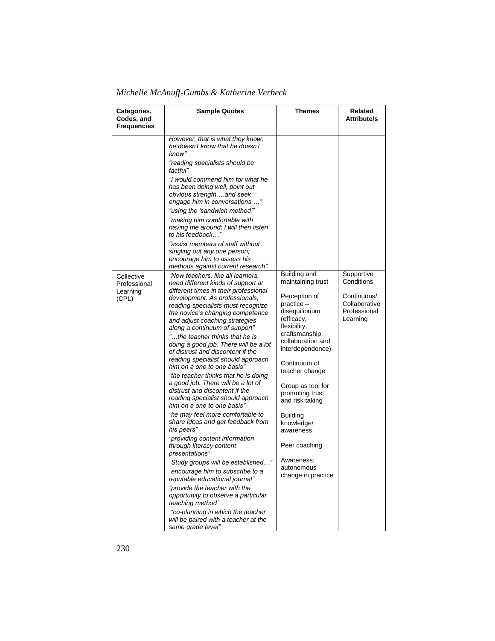| Categories,<br>Codes, and<br><b>Frequencies</b> | <b>Sample Quotes</b>                                                                                                                                                                                                                                                                                                                                                                                                                                                                                                                                                                                                                                                                                                                                                                                                                                                                                                                                                                                                                                                                                                                                     | Themes                                                                                                                                                                                                                                                                                                                                                                                    | Related<br><b>Attribute/s</b>                                                        |
|-------------------------------------------------|----------------------------------------------------------------------------------------------------------------------------------------------------------------------------------------------------------------------------------------------------------------------------------------------------------------------------------------------------------------------------------------------------------------------------------------------------------------------------------------------------------------------------------------------------------------------------------------------------------------------------------------------------------------------------------------------------------------------------------------------------------------------------------------------------------------------------------------------------------------------------------------------------------------------------------------------------------------------------------------------------------------------------------------------------------------------------------------------------------------------------------------------------------|-------------------------------------------------------------------------------------------------------------------------------------------------------------------------------------------------------------------------------------------------------------------------------------------------------------------------------------------------------------------------------------------|--------------------------------------------------------------------------------------|
|                                                 | However, that is what they know;<br>he doesn't know that he doesn't<br>know"<br>"reading specialists should be<br>tactful"<br>"I would commend him for what he<br>has been doing well, point out<br>obvious strength and seek<br>engage him in conversations "<br>"using the 'sandwich method""<br>"making him comfortable with<br>having me around; I will then listen<br>to his feedback"<br>"assist members of staff without<br>singling out any one person;<br>encourage him to assess his<br>methods against current research"                                                                                                                                                                                                                                                                                                                                                                                                                                                                                                                                                                                                                      |                                                                                                                                                                                                                                                                                                                                                                                           |                                                                                      |
| Collective<br>Professional<br>Learning<br>(CPL) | "New teachers, like all learners,<br>need different kinds of support at<br>different times in their professional<br>development. As professionals,<br>reading specialists must recognize<br>the novice's changing competence<br>and adjust coaching strategies<br>along a continuum of support"<br>"the teacher thinks that he is<br>doing a good job. There will be a lot<br>of distrust and discontent if the<br>reading specialist should approach<br>him on a one to one basis"<br>"the teacher thinks that he is doing<br>a good job. There will be a lot of<br>distrust and discontent if the<br>reading specialist should approach<br>him on a one to one basis"<br>"he may feel more comfortable to<br>share ideas and get feedback from<br>his peers"<br>"providing content information<br>through literacy content<br>presentations"<br>"Study groups will be established"<br>"encourage him to subscribe to a<br>reputable educational journal"<br>"provide the teacher with the<br>opportunity to observe a particular<br>teaching method"<br>"co-planning in which the teacher<br>will be paired with a teacher at the<br>same grade level" | Building and<br>maintaining trust<br>Perception of<br>practice -<br>disequilibrium<br>(efficacy,<br>flexibility,<br>craftsmanship,<br>collaboration and<br>interdependence)<br>Continuum of<br>teacher change<br>Group as tool for<br>promoting trust<br>and risk taking<br><b>Building</b><br>knowledge/<br>awareness<br>Peer coaching<br>Awareness;<br>autonomous<br>change in practice | Supportive<br>Conditions<br>Continuous/<br>Collaborative<br>Professional<br>Learning |

*Michelle McAnuff-Gumbs & Katherine Verbeck*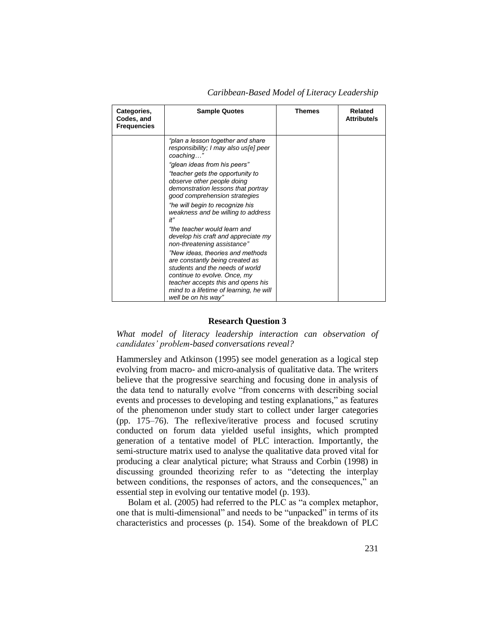| Categories,<br>Codes, and<br><b>Frequencies</b> | <b>Sample Quotes</b>                                                                                                                                                                                                                                                                                                                                                                                                                                                                                                                                                                                                                                                                                     | <b>Themes</b> | <b>Related</b><br><b>Attribute/s</b> |
|-------------------------------------------------|----------------------------------------------------------------------------------------------------------------------------------------------------------------------------------------------------------------------------------------------------------------------------------------------------------------------------------------------------------------------------------------------------------------------------------------------------------------------------------------------------------------------------------------------------------------------------------------------------------------------------------------------------------------------------------------------------------|---------------|--------------------------------------|
|                                                 | "plan a lesson together and share<br>responsibility; I may also us[e] peer<br>coaching"<br>"glean ideas from his peers"<br>"teacher gets the opportunity to<br>observe other people doing<br>demonstration lessons that portray<br>good comprehension strategies<br>"he will begin to recognize his<br>weakness and be willing to address<br>it"<br>"the teacher would learn and<br>develop his craft and appreciate my<br>non-threatening assistance"<br>"New ideas, theories and methods<br>are constantly being created as<br>students and the needs of world<br>continue to evolve. Once, my<br>teacher accepts this and opens his<br>mind to a lifetime of learning, he will<br>well be on his way" |               |                                      |

*Caribbean-Based Model of Literacy Leadership*

#### **Research Question 3**

What model of literacy leadership interaction can observation of *candidates' problem-based conversations reveal?* 

Hammersley and Atkinson (1995) see model generation as a logical step evolving from macro- and micro-analysis of qualitative data. The writers believe that the progressive searching and focusing done in analysis of the data tend to naturally evolve "from concerns with describing social events and processes to developing and testing explanations," as features of the phenomenon under study start to collect under larger categories (pp. 175–76). The reflexive/iterative process and focused scrutiny conducted on forum data yielded useful insights, which prompted generation of a tentative model of PLC interaction. Importantly, the semi-structure matrix used to analyse the qualitative data proved vital for producing a clear analytical picture; what Strauss and Corbin (1998) in discussing grounded theorizing refer to as "detecting the interplay between conditions, the responses of actors, and the consequences," an essential step in evolving our tentative model (p. 193).

Bolam et al. (2005) had referred to the PLC as "a complex metaphor, one that is multi-dimensional" and needs to be "unpacked" in terms of its characteristics and processes (p. 154). Some of the breakdown of PLC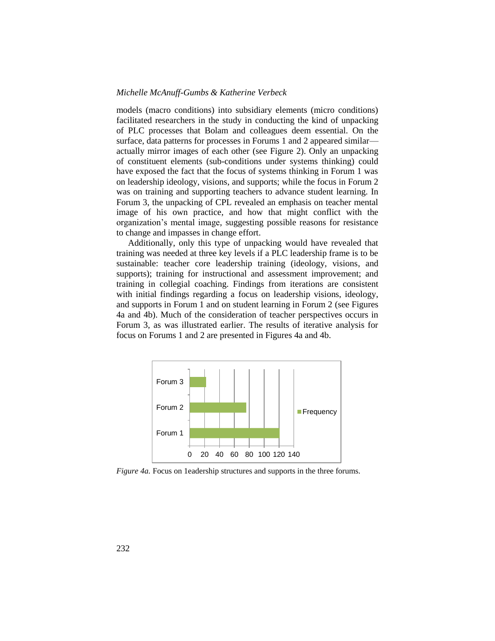models (macro conditions) into subsidiary elements (micro conditions) facilitated researchers in the study in conducting the kind of unpacking of PLC processes that Bolam and colleagues deem essential. On the surface, data patterns for processes in Forums 1 and 2 appeared similar actually mirror images of each other (see Figure 2). Only an unpacking of constituent elements (sub-conditions under systems thinking) could have exposed the fact that the focus of systems thinking in Forum 1 was on leadership ideology, visions, and supports; while the focus in Forum 2 was on training and supporting teachers to advance student learning. In Forum 3, the unpacking of CPL revealed an emphasis on teacher mental image of his own practice, and how that might conflict with the organization's mental image, suggesting possible reasons for resistance to change and impasses in change effort.

Additionally, only this type of unpacking would have revealed that training was needed at three key levels if a PLC leadership frame is to be sustainable: teacher core leadership training (ideology, visions, and supports); training for instructional and assessment improvement; and training in collegial coaching. Findings from iterations are consistent with initial findings regarding a focus on leadership visions, ideology, and supports in Forum 1 and on student learning in Forum 2 (see Figures 4a and 4b). Much of the consideration of teacher perspectives occurs in Forum 3, as was illustrated earlier. The results of iterative analysis for focus on Forums 1 and 2 are presented in Figures 4a and 4b.



*Figure 4a.* Focus on 1eadership structures and supports in the three forums.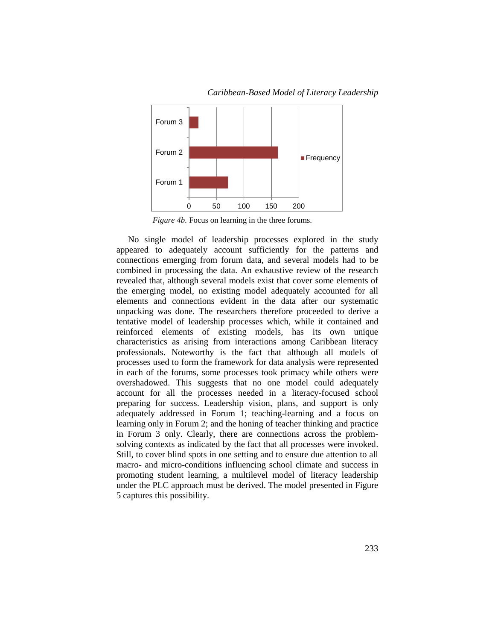

*Caribbean-Based Model of Literacy Leadership*

*Figure 4b.* Focus on learning in the three forums.

No single model of leadership processes explored in the study appeared to adequately account sufficiently for the patterns and connections emerging from forum data, and several models had to be combined in processing the data. An exhaustive review of the research revealed that, although several models exist that cover some elements of the emerging model, no existing model adequately accounted for all elements and connections evident in the data after our systematic unpacking was done. The researchers therefore proceeded to derive a tentative model of leadership processes which, while it contained and reinforced elements of existing models, has its own unique characteristics as arising from interactions among Caribbean literacy professionals. Noteworthy is the fact that although all models of processes used to form the framework for data analysis were represented in each of the forums, some processes took primacy while others were overshadowed. This suggests that no one model could adequately account for all the processes needed in a literacy-focused school preparing for success. Leadership vision, plans, and support is only adequately addressed in Forum 1; teaching-learning and a focus on learning only in Forum 2; and the honing of teacher thinking and practice in Forum 3 only. Clearly, there are connections across the problemsolving contexts as indicated by the fact that all processes were invoked. Still, to cover blind spots in one setting and to ensure due attention to all macro- and micro-conditions influencing school climate and success in promoting student learning, a multilevel model of literacy leadership under the PLC approach must be derived. The model presented in Figure 5 captures this possibility.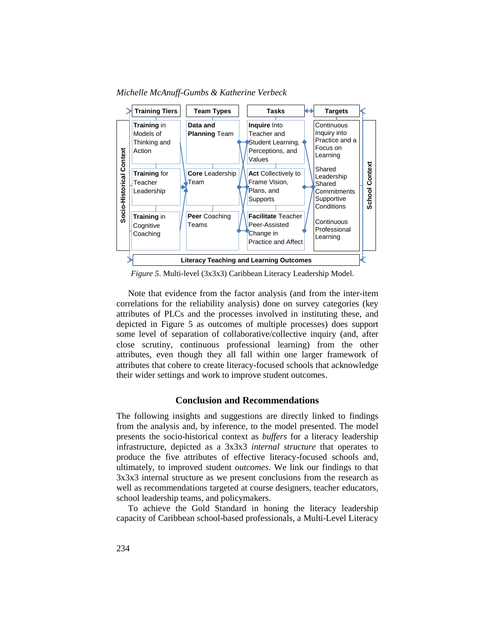*Michelle McAnuff-Gumbs & Katherine Verbeck*



*Figure 5*. Multi-level (3x3x3) Caribbean Literacy Leadership Model.

Note that evidence from the factor analysis (and from the inter-item correlations for the reliability analysis) done on survey categories (key attributes of PLCs and the processes involved in instituting these, and depicted in Figure 5 as outcomes of multiple processes) does support some level of separation of collaborative/collective inquiry (and, after close scrutiny, continuous professional learning) from the other attributes, even though they all fall within one larger framework of attributes that cohere to create literacy-focused schools that acknowledge their wider settings and work to improve student outcomes.

## **Conclusion and Recommendations**

The following insights and suggestions are directly linked to findings from the analysis and, by inference, to the model presented. The model presents the socio-historical context as *buffers* for a literacy leadership infrastructure, depicted as a 3x3x3 *internal structure* that operates to produce the five attributes of effective literacy-focused schools and, ultimately, to improved student *outcomes*. We link our findings to that 3x3x3 internal structure as we present conclusions from the research as well as recommendations targeted at course designers, teacher educators, school leadership teams, and policymakers.

To achieve the Gold Standard in honing the literacy leadership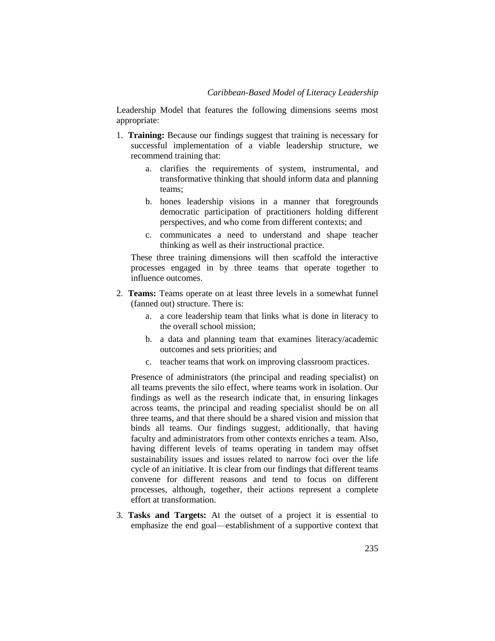Leadership Model that features the following dimensions seems most appropriate:

- 1. **Training:** Because our findings suggest that training is necessary for successful implementation of a viable leadership structure, we recommend training that:
	- a. clarifies the requirements of system, instrumental, and transformative thinking that should inform data and planning teams;
	- b. hones leadership visions in a manner that foregrounds democratic participation of practitioners holding different perspectives, and who come from different contexts; and
	- c. communicates a need to understand and shape teacher thinking as well as their instructional practice.

These three training dimensions will then scaffold the interactive processes engaged in by three teams that operate together to influence outcomes.

- 2. **Teams:** Teams operate on at least three levels in a somewhat funnel (fanned out) structure. There is:
	- a. a core leadership team that links what is done in literacy to the overall school mission;
	- b. a data and planning team that examines literacy/academic outcomes and sets priorities; and
	- c. teacher teams that work on improving classroom practices.

Presence of administrators (the principal and reading specialist) on all teams prevents the silo effect, where teams work in isolation. Our findings as well as the research indicate that, in ensuring linkages across teams, the principal and reading specialist should be on all three teams, and that there should be a shared vision and mission that binds all teams. Our findings suggest, additionally, that having faculty and administrators from other contexts enriches a team. Also, having different levels of teams operating in tandem may offset sustainability issues and issues related to narrow foci over the life cycle of an initiative. It is clear from our findings that different teams convene for different reasons and tend to focus on different processes, although, together, their actions represent a complete effort at transformation.

3. **Tasks and Targets:** At the outset of a project it is essential to emphasize the end goal—establishment of a supportive context that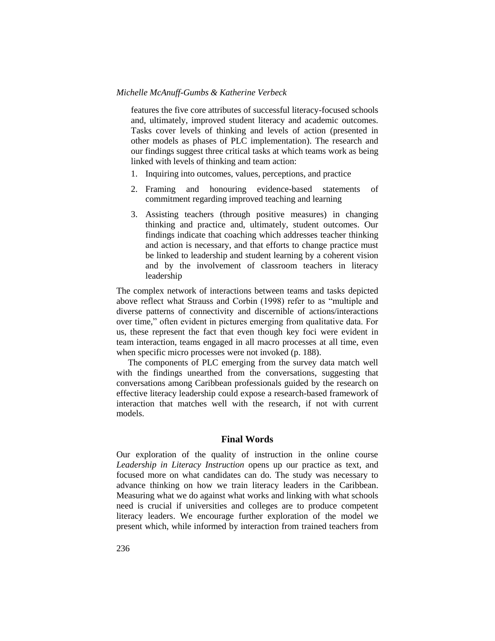features the five core attributes of successful literacy-focused schools and, ultimately, improved student literacy and academic outcomes. Tasks cover levels of thinking and levels of action (presented in other models as phases of PLC implementation). The research and our findings suggest three critical tasks at which teams work as being linked with levels of thinking and team action:

- 1. Inquiring into outcomes, values, perceptions, and practice
- 2. Framing and honouring evidence-based statements of commitment regarding improved teaching and learning
- 3. Assisting teachers (through positive measures) in changing thinking and practice and, ultimately, student outcomes. Our findings indicate that coaching which addresses teacher thinking and action is necessary, and that efforts to change practice must be linked to leadership and student learning by a coherent vision and by the involvement of classroom teachers in literacy leadership

The complex network of interactions between teams and tasks depicted above reflect what Strauss and Corbin (1998) refer to as "multiple and diverse patterns of connectivity and discernible of actions/interactions over time," often evident in pictures emerging from qualitative data. For us, these represent the fact that even though key foci were evident in team interaction, teams engaged in all macro processes at all time, even when specific micro processes were not invoked (p. 188).

The components of PLC emerging from the survey data match well with the findings unearthed from the conversations, suggesting that conversations among Caribbean professionals guided by the research on effective literacy leadership could expose a research-based framework of interaction that matches well with the research, if not with current models.

## **Final Words**

Our exploration of the quality of instruction in the online course *Leadership in Literacy Instruction* opens up our practice as text, and focused more on what candidates can do. The study was necessary to advance thinking on how we train literacy leaders in the Caribbean. Measuring what we do against what works and linking with what schools need is crucial if universities and colleges are to produce competent literacy leaders. We encourage further exploration of the model we present which, while informed by interaction from trained teachers from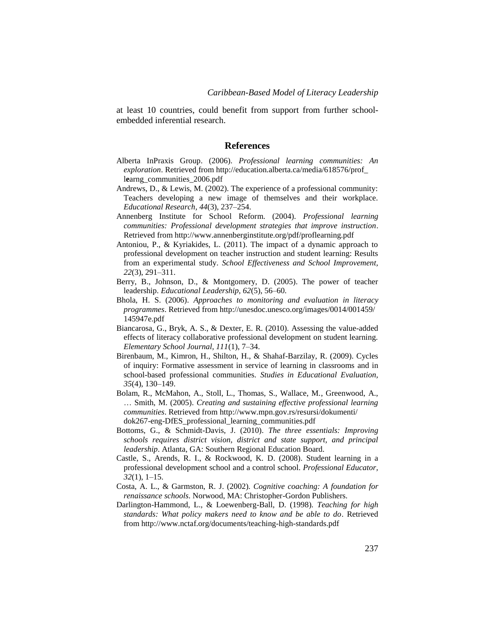at least 10 countries, could benefit from support from further schoolembedded inferential research.

#### **References**

- Alberta InPraxis Group. (2006). *Professional learning communities: An exploration*. Retrieved from http://education.alberta.ca/media/618576/prof\_ l**e**arng\_communities\_2006.pdf
- Andrews, D., & Lewis, M. (2002). The experience of a professional community: Teachers developing a new image of themselves and their workplace. *Educational Research, 44*(3), 237–254.
- Annenberg Institute for School Reform. (2004). *Professional learning communities: Professional development strategies that improve instruction*. Retrieved from http://www.annenberginstitute.org/pdf/proflearning.pdf
- Antoniou, P., & Kyriakides, L. (2011). The impact of a dynamic approach to professional development on teacher instruction and student learning: Results from an experimental study. *School Effectiveness and School Improvement, 22*(3), 291–311.
- Berry, B., Johnson, D., & Montgomery, D. (2005). The power of teacher leadership. *Educational Leadership*, *62*(5), 56–60.
- Bhola, H. S. (2006). *Approaches to monitoring and evaluation in literacy programmes*. Retrieved from http://unesdoc.unesco.org/images/0014/001459/ 145947e.pdf
- Biancarosa, G., Bryk, A. S., & Dexter, E. R. (2010). Assessing the value-added effects of literacy collaborative professional development on student learning. *Elementary School Journal, 111*(1), 7–34.
- Birenbaum, M., Kimron, H., Shilton, H., & Shahaf-Barzilay, R. (2009). Cycles of inquiry: Formative assessment in service of learning in classrooms and in school-based professional communities. *Studies in Educational Evaluation, 35*(4), 130–149.
- Bolam, R., McMahon, A., Stoll, L., Thomas, S., Wallace, M., Greenwood, A., … Smith, M. (2005). *Creating and sustaining effective professional learning communities*. Retrieved from http://www.mpn.gov.rs/resursi/dokumenti/ dok267-eng-DfES\_professional\_learning\_communities.pdf
- Bottoms, G., & Schmidt-Davis, J. (2010). *The three essentials: Improving schools requires district vision, district and state support, and principal leadership*. Atlanta, GA: Southern Regional Education Board.
- Castle, S., Arends, R. I., & Rockwood, K. D. (2008). Student learning in a professional development school and a control school. *Professional Educator, 32*(1), 1–15.
- Costa, A. L., & Garmston, R. J. (2002). *Cognitive coaching: A foundation for renaissance schools*. Norwood, MA: Christopher-Gordon Publishers.
- Darlington-Hammond, L., & Loewenberg-Ball, D. (1998). *Teaching for high standards: What policy makers need to know and be able to do*. Retrieved from http://www.nctaf.org/documents/teaching-high-standards.pdf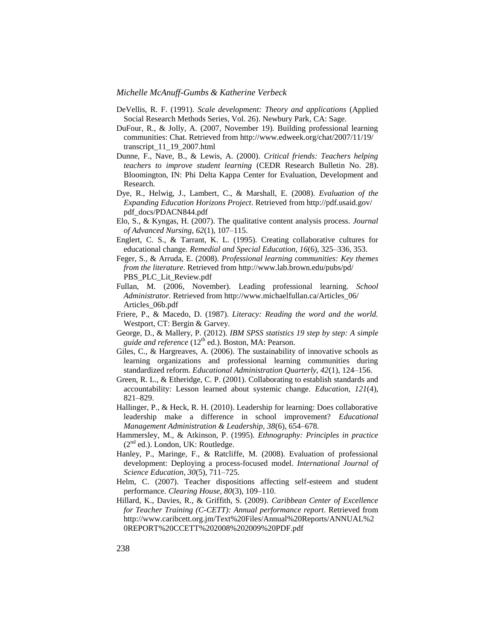- DeVellis, R. F. (1991). *Scale development: Theory and applications* (Applied Social Research Methods Series, Vol. 26). Newbury Park, CA: Sage.
- DuFour, R., & Jolly, A. (2007, November 19). Building professional learning communities: Chat. Retrieved from http://www.edweek.org/chat/2007/11/19/ transcript\_11\_19\_2007.html
- Dunne, F., Nave, B., & Lewis, A. (2000). *Critical friends: Teachers helping teachers to improve student learning* (CEDR Research Bulletin No. 28). Bloomington, IN: Phi Delta Kappa Center for Evaluation, Development and Research.
- Dye, R., Helwig, J., Lambert, C., & Marshall, E. (2008). *Evaluation of the Expanding Education Horizons Project*. Retrieved from http://pdf.usaid.gov/ pdf\_docs/PDACN844.pdf
- Elo, S., & Kyngas, H. (2007). The qualitative content analysis process*. Journal of Advanced Nursing, 62*(1), 107–115.
- Englert, C. S., & Tarrant, K. L. (1995). Creating collaborative cultures for educational change. *Remedial and Special Education, 16*(6), 325–336, 353.
- Feger, S., & Arruda, E. (2008). *Professional learning communities: Key themes from the literature*. Retrieved from http://www.lab.brown.edu/pubs/pd/ PBS\_PLC\_Lit\_Review.pdf
- Fullan, M. (2006, November). Leading professional learning. *School Administrator.* Retrieved from http://www.michaelfullan.ca/Articles\_06/ Articles\_06b.pdf
- Friere, P., & Macedo, D. (1987). *Literacy: Reading the word and the world.* Westport, CT: Bergin & Garvey.
- George, D., & Mallery, P. (2012). *IBM SPSS statistics 19 step by step: A simple*  guide and reference (12<sup>th</sup> ed.). Boston, MA: Pearson.
- Giles, C., & Hargreaves, A. (2006). The sustainability of innovative schools as learning organizations and professional learning communities during standardized reform. *Educational Administration Quarterly, 42*(1), 124–156.
- Green, R. L., & Etheridge, C. P. (2001). Collaborating to establish standards and accountability: Lesson learned about systemic change. *Education, 121*(4), 821–829.
- Hallinger, P., & Heck, R. H. (2010). Leadership for learning: Does collaborative leadership make a difference in school improvement? *Educational Management Administration & Leadership, 38*(6), 654–678.
- Hammersley, M., & Atkinson, P. (1995). *Ethnography: Principles in practice*  $(2<sup>nd</sup>$  ed.). London, UK: Routledge.
- Hanley, P., Maringe, F., & Ratcliffe, M. (2008). Evaluation of professional development: Deploying a process-focused model. *International Journal of Science Education, 30*(5), 711–725.
- Helm, C. (2007). Teacher dispositions affecting self-esteem and student performance. *Clearing House, 80*(3), 109–110.
- Hillard, K., Davies, R., & Griffith, S. (2009). *Caribbean Center of Excellence for Teacher Training (C-CETT): Annual performance report*. Retrieved from http://www.caribcett.org.jm/Text%20Files/Annual%20Reports/ANNUAL%2 0REPORT%20CCETT%202008%202009%20PDF.pdf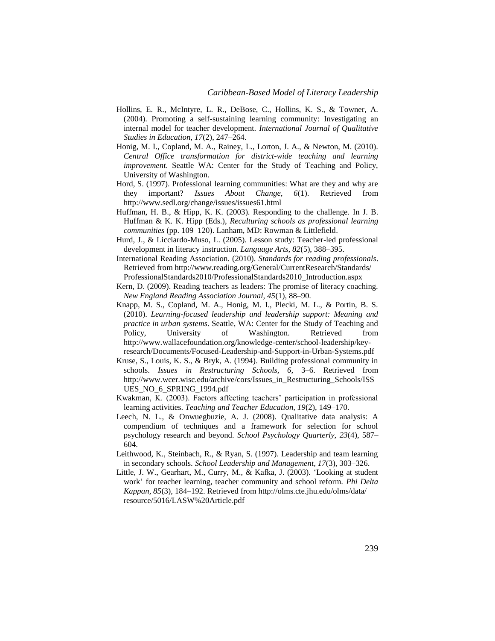- Hollins, E. R., McIntyre, L. R., DeBose, C., Hollins, K. S., & Towner, A. (2004). Promoting a self-sustaining learning community: Investigating an internal model for teacher development. *International Journal of Qualitative Studies in Education, 17*(2), 247–264.
- Honig, M. I., Copland, M. A., Rainey, L., Lorton, J. A., & Newton, M. (2010). *Central Office transformation for district-wide teaching and learning improvement*. Seattle WA: Center for the Study of Teaching and Policy, University of Washington.
- Hord, S. (1997). Professional learning communities: What are they and why are they important? *Issues About Change, 6*(1). Retrieved from http://www.sedl.org/change/issues/issues61.html
- Huffman, H. B., & Hipp, K. K. (2003). Responding to the challenge. In J. B. Huffman & K. K. Hipp (Eds.), *Reculturing schools as professional learning communities* (pp. 109–120). Lanham, MD: Rowman & Littlefield.
- Hurd, J., & Licciardo-Muso, L. (2005). Lesson study: Teacher-led professional development in literacy instruction. *Language Arts, 82*(5), 388–395.
- International Reading Association. (2010). *Standards for reading professionals*. Retrieved from http://www.reading.org/General/CurrentResearch/Standards/ ProfessionalStandards2010/ProfessionalStandards2010\_Introduction.aspx
- Kern, D. (2009). Reading teachers as leaders: The promise of literacy coaching. *New England Reading Association Journal, 45*(1), 88–90.
- Knapp, M. S., Copland, M. A., Honig, M. I., Plecki, M. L., & Portin, B. S. (2010). *Learning-focused leadership and leadership support: Meaning and practice in urban systems*. Seattle, WA: Center for the Study of Teaching and Policy, University of Washington. Retrieved from http://www.wallacefoundation.org/knowledge-center/school-leadership/keyresearch/Documents/Focused-Leadership-and-Support-in-Urban-Systems.pdf
- Kruse, S., Louis, K. S., & Bryk, A. (1994). Building professional community in schools. *Issues in Restructuring Schools, 6,* 3–6. Retrieved from http://www.wcer.wisc.edu/archive/cors/Issues\_in\_Restructuring\_Schools/ISS UES\_NO\_6\_SPRING\_1994.pdf
- Kwakman, K. (2003). Factors affecting teachers' participation in professional learning activities. *Teaching and Teacher Education, 19*(2), 149–170.
- Leech, N. L., & Onwuegbuzie, A. J. (2008). Qualitative data analysis: A compendium of techniques and a framework for selection for school psychology research and beyond. *School Psychology Quarterly, 23*(4), 587– 604.
- Leithwood, K., Steinbach, R., & Ryan, S. (1997). Leadership and team learning in secondary schools. *School Leadership and Management, 17*(3), 303–326.
- Little, J. W., Gearhart, M., Curry, M., & Kafka, J. (2003). 'Looking at student work' for teacher learning, teacher community and school reform. *Phi Delta Kappan, 85*(3), 184–192. Retrieved from http://olms.cte.jhu.edu/olms/data/ resource/5016/LASW%20Article.pdf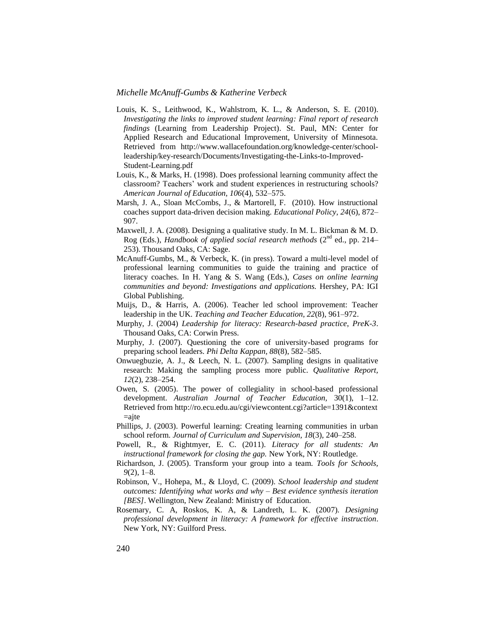- Louis, K. S., Leithwood, K., Wahlstrom, K. L., & Anderson, S. E. (2010). *Investigating the links to improved student learning: Final report of research findings* (Learning from Leadership Project). St. Paul, MN: Center for Applied Research and Educational Improvement, University of Minnesota. Retrieved from http://www.wallacefoundation.org/knowledge-center/schoolleadership/key-research/Documents/Investigating-the-Links-to-Improved-Student-Learning.pdf
- Louis, K., & Marks, H. (1998). Does professional learning community affect the classroom? Teachers' work and student experiences in restructuring schools? *American Journal of Education, 106*(4), 532–575.
- Marsh, J. A., Sloan McCombs, J., & Martorell, F. (2010). How instructional coaches support data-driven decision making. *Educational Policy, 24*(6), 872– 907.
- Maxwell, J. A. (2008). Designing a qualitative study. In M. L. Bickman & M. D. Rog (Eds.), *Handbook of applied social research methods* (2nd ed., pp. 214– 253). Thousand Oaks, CA: Sage.
- McAnuff-Gumbs, M., & Verbeck, K. (in press). Toward a multi-level model of professional learning communities to guide the training and practice of literacy coaches. In H. Yang & S. Wang (Eds.), *Cases on online learning communities and beyond: Investigations and applications.* Hershey, PA: IGI Global Publishing.
- Muijs, D., & Harris, A. (2006). Teacher led school improvement: Teacher leadership in the UK. *Teaching and Teacher Education, 22*(8), 961–972.
- Murphy, J. (2004) *Leadership for literacy: Research-based practice*, *PreK-3*. Thousand Oaks, CA: Corwin Press.
- Murphy, J. (2007). Questioning the core of university-based programs for preparing school leaders. *Phi Delta Kappan, 88*(8), 582–585.
- Onwuegbuzie, A. J., & Leech, N. L. (2007). Sampling designs in qualitative research: Making the sampling process more public. *Qualitative Report, 12*(2), 238–254.
- Owen, S. (2005). The power of collegiality in school-based professional development. *Australian Journal of Teacher Education,* 30(1), 1–12. Retrieved from http://ro.ecu.edu.au/cgi/viewcontent.cgi?article=1391&context  $=$ ajte
- Phillips, J. (2003). Powerful learning: Creating learning communities in urban school reform. *Journal of Curriculum and Supervision, 18*(3), 240–258.
- Powell, R., & Rightmyer, E. C. (2011). *Literacy for all students: An instructional framework for closing the gap.* New York, NY: Routledge.
- Richardson, J. (2005). Transform your group into a team. *Tools for Schools, 9*(2), 1–8.
- Robinson, V., Hohepa, M., & Lloyd, C. (2009). *School leadership and student outcomes: Identifying what works and why – Best evidence synthesis iteration [BES]*. Wellington, New Zealand: Ministry of Education.
- Rosemary, C. A, Roskos, K. A, & Landreth, L. K. (2007). *Designing professional development in literacy: A framework for effective instruction*. New York, NY: Guilford Press.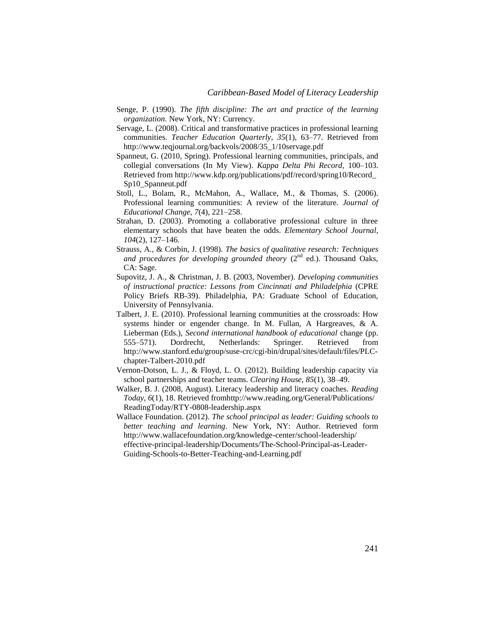- Senge, P. (1990). *The fifth discipline: The art and practice of the learning organization.* New York, NY: Currency.
- Servage, L. (2008). Critical and transformative practices in professional learning communities. *Teacher Education Quarterly, 35*(1), 63–77. Retrieved from http://www.teqjournal.org/backvols/2008/35\_1/10servage.pdf
- Spanneut, G. (2010, Spring). Professional learning communities, principals, and collegial conversations (In My View). *Kappa Delta Phi Record*, 100–103. Retrieved from http://www.kdp.org/publications/pdf/record/spring10/Record\_ Sp10\_Spanneut.pdf
- Stoll, L., Bolam, R., McMahon, A., Wallace, M., & Thomas, S. (2006). Professional learning communities: A review of the literature. *Journal of Educational Change, 7*(4), 221–258.
- Strahan, D. (2003). Promoting a collaborative professional culture in three elementary schools that have beaten the odds. *Elementary School Journal, 104*(2), 127–146.
- Strauss, A., & Corbin, J. (1998). *The basics of qualitative research: Techniques*  and procedures for developing grounded theory  $(2^{nd}$  ed.). Thousand Oaks, CA: Sage.
- Supovitz, J. A., & Christman, J. B. (2003, November). *Developing communities of instructional practice: Lessons from Cincinnati and Philadelphia* (CPRE Policy Briefs RB-39). Philadelphia, PA: Graduate School of Education, University of Pennsylvania.
- Talbert, J. E. (2010). Professional learning communities at the crossroads: How systems hinder or engender change. In M. Fullan, A Hargreaves, & A. Lieberman (Eds.), *Second international handbook of educational* change (pp. 555–571). Dordrecht, Netherlands: Springer. Retrieved from http://www.stanford.edu/group/suse-crc/cgi-bin/drupal/sites/default/files/PLCchapter-Talbert-2010.pdf
- Vernon-Dotson, L. J., & Floyd, L. O. (2012). Building leadership capacity via school partnerships and teacher teams. *Clearing House, 85*(1), 38–49.
- Walker, B. J. (2008, August). Literacy leadership and literacy coaches. *Reading Today, 6*(1), 18. Retrieved fromhttp://www.reading.org/General/Publications/ ReadingToday/RTY-0808-leadership.aspx
- Wallace Foundation. (2012). *The school principal as leader: Guiding schools to better teaching and learning*. New York, NY: Author. Retrieved form http://www.wallacefoundation.org/knowledge-center/school-leadership/ effective-principal-leadership/Documents/The-School-Principal-as-Leader-Guiding-Schools-to-Better-Teaching-and-Learning.pdf